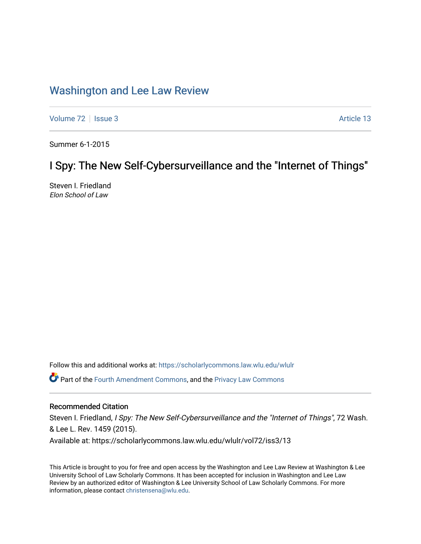# [Washington and Lee Law Review](https://scholarlycommons.law.wlu.edu/wlulr)

[Volume 72](https://scholarlycommons.law.wlu.edu/wlulr/vol72) | [Issue 3](https://scholarlycommons.law.wlu.edu/wlulr/vol72/iss3) Article 13

Summer 6-1-2015

# I Spy: The New Self-Cybersurveillance and the "Internet of Things"

Steven I. Friedland Elon School of Law

Follow this and additional works at: [https://scholarlycommons.law.wlu.edu/wlulr](https://scholarlycommons.law.wlu.edu/wlulr?utm_source=scholarlycommons.law.wlu.edu%2Fwlulr%2Fvol72%2Fiss3%2F13&utm_medium=PDF&utm_campaign=PDFCoverPages) 

Part of the [Fourth Amendment Commons,](http://network.bepress.com/hgg/discipline/1180?utm_source=scholarlycommons.law.wlu.edu%2Fwlulr%2Fvol72%2Fiss3%2F13&utm_medium=PDF&utm_campaign=PDFCoverPages) and the [Privacy Law Commons](http://network.bepress.com/hgg/discipline/1234?utm_source=scholarlycommons.law.wlu.edu%2Fwlulr%2Fvol72%2Fiss3%2F13&utm_medium=PDF&utm_campaign=PDFCoverPages) 

# Recommended Citation

Steven I. Friedland, I Spy: The New Self-Cybersurveillance and the "Internet of Things", 72 Wash. & Lee L. Rev. 1459 (2015). Available at: https://scholarlycommons.law.wlu.edu/wlulr/vol72/iss3/13

This Article is brought to you for free and open access by the Washington and Lee Law Review at Washington & Lee University School of Law Scholarly Commons. It has been accepted for inclusion in Washington and Lee Law Review by an authorized editor of Washington & Lee University School of Law Scholarly Commons. For more information, please contact [christensena@wlu.edu](mailto:christensena@wlu.edu).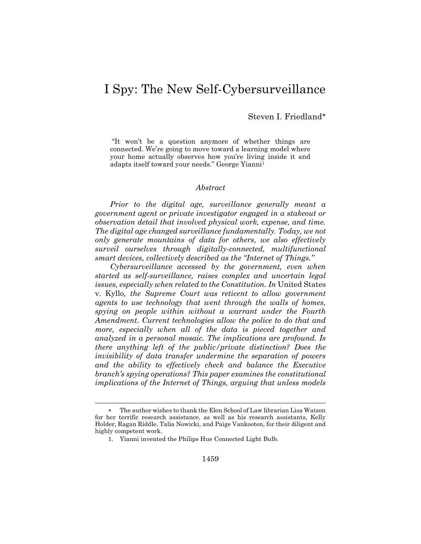# I Spy: The New Self-Cybersurveillance

Steven I. Friedland

"It won't be a question anymore of whether things are connected. We're going to move toward a learning model where your home actually observes how you're living inside it and adapts itself toward your needs." George Yianni<sup>1</sup>

#### *Abstract*

*Prior to the digital age, surveillance generally meant a government agent or private investigator engaged in a stakeout or observation detail that involved physical work, expense, and time. The digital age changed surveillance fundamentally. Today, we not only generate mountains of data for others, we also effectively surveil ourselves through digitally-connected, multifunctional smart devices, collectively described as the "Internet of Things."*

*Cybersurveillance accessed by the government, even when started as self-surveillance, raises complex and uncertain legal issues, especially when related to the Constitution. In* United States v. Kyllo*, the Supreme Court was reticent to allow government agents to use technology that went through the walls of homes, spying on people within without a warrant under the Fourth Amendment. Current technologies allow the police to do that and more, especially when all of the data is pieced together and analyzed in a personal mosaic. The implications are profound. Is there anything left of the public/private distinction? Does the invisibility of data transfer undermine the separation of powers*  and the ability to effectively check and balance the Executive *branch's spying operations? This paper examines the constitutional implications of the Internet of Things, arguing that unless models* 

The author wishes to thank the Elon School of Law librarian Lisa Watson for her terrific research assistance, as well as his research assistants, Kelly Holder, Ragan Riddle, Talia Nowicki, and Paige Vankooten, for their diligent and highly competent work.

<sup>1.</sup> Yianni invented the Philips Hue Connected Light Bulb.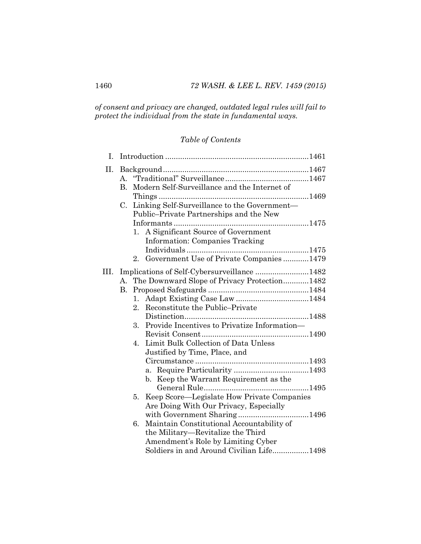*of consent and privacy are changed, outdated legal rules will fail to protect the individual from the state in fundamental ways.*

# *Table of Contents*

| I.   |                   |                                                                                         |                                                                              |  |
|------|-------------------|-----------------------------------------------------------------------------------------|------------------------------------------------------------------------------|--|
| Η.   | $A_{\cdot}$<br>B. |                                                                                         | Modern Self-Surveillance and the Internet of                                 |  |
|      |                   |                                                                                         |                                                                              |  |
|      | C.                | Linking Self-Surveillance to the Government-<br>Public-Private Partnerships and the New |                                                                              |  |
|      |                   | 1.                                                                                      | A Significant Source of Government<br><b>Information: Companies Tracking</b> |  |
|      |                   |                                                                                         |                                                                              |  |
|      |                   |                                                                                         | 2. Government Use of Private Companies 1479                                  |  |
| III. |                   |                                                                                         | Implications of Self-Cybersurveillance 1482                                  |  |
|      |                   |                                                                                         | A. The Downward Slope of Privacy Protection1482                              |  |
|      | B.                |                                                                                         |                                                                              |  |
|      |                   | $1_{\cdot}$                                                                             |                                                                              |  |
|      |                   | 2 <sub>1</sub>                                                                          | Reconstitute the Public–Private                                              |  |
|      |                   |                                                                                         |                                                                              |  |
|      |                   | 3.                                                                                      | Provide Incentives to Privatize Information—                                 |  |
|      |                   |                                                                                         |                                                                              |  |
|      |                   | 4.                                                                                      | Limit Bulk Collection of Data Unless                                         |  |
|      |                   |                                                                                         | Justified by Time, Place, and                                                |  |
|      |                   |                                                                                         |                                                                              |  |
|      |                   |                                                                                         |                                                                              |  |
|      |                   |                                                                                         | b. Keep the Warrant Requirement as the                                       |  |
|      |                   |                                                                                         |                                                                              |  |
|      |                   | 5.                                                                                      | Keep Score—Legislate How Private Companies                                   |  |
|      |                   |                                                                                         | Are Doing With Our Privacy, Especially                                       |  |
|      |                   |                                                                                         |                                                                              |  |
|      |                   | 6.                                                                                      | Maintain Constitutional Accountability of                                    |  |
|      |                   |                                                                                         | the Military—Revitalize the Third                                            |  |
|      |                   |                                                                                         | Amendment's Role by Limiting Cyber                                           |  |
|      |                   |                                                                                         | Soldiers in and Around Civilian Life1498                                     |  |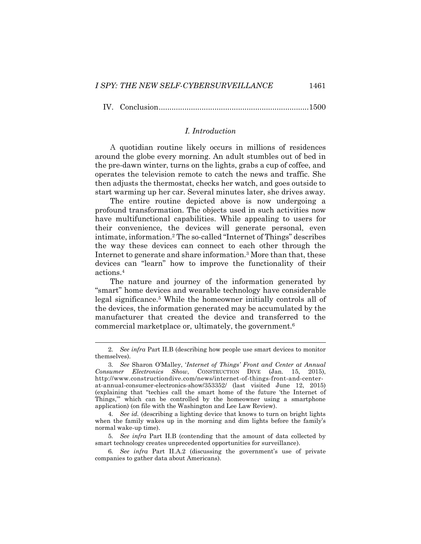IV. Conclusion......................................................................1500

#### <span id="page-3-0"></span>*I. Introduction*

A quotidian routine likely occurs in millions of residences around the globe every morning. An adult stumbles out of bed in the pre-dawn winter, turns on the lights, grabs a cup of coffee, and operates the television remote to catch the news and traffic. She then adjusts the thermostat, checks her watch, and goes outside to start warming up her car. Several minutes later, she drives away.

The entire routine depicted above is now undergoing a profound transformation. The objects used in such activities now have multifunctional capabilities. While appealing to users for their convenience, the devices will generate personal, even intimate, information.<sup>2</sup> The so-called "Internet of Things" describes the way these devices can connect to each other through the Internet to generate and share information.<sup>3</sup> More than that, these devices can "learn" how to improve the functionality of their actions.<sup>4</sup>

The nature and journey of the information generated by "smart" home devices and wearable technology have considerable legal significance. <sup>5</sup> While the homeowner initially controls all of the devices, the information generated may be accumulated by the manufacturer that created the device and transferred to the commercial marketplace or, ultimately, the government.<sup>6</sup>

<sup>2</sup>*. See infra* Part II.B (describing how people use smart devices to monitor themselves).

<sup>3</sup>*. See* Sharon O'Malley, '*Internet of Things' Front and Center at Annual Consumer Electronics Show*, CONSTRUCTION DIVE (Jan. 15, 2015), http://www.constructiondive.com/news/internet-of-things-front-and-centerat-annual-consumer-electronics-show/353352/ (last visited June 12, 2015) (explaining that "techies call the smart home of the future 'the Internet of Things,''' which can be controlled by the homeowner using a smartphone application) (on file with the Washington and Lee Law Review).

<sup>4</sup>*. See id.* (describing a lighting device that knows to turn on bright lights when the family wakes up in the morning and dim lights before the family's normal wake-up time).

<sup>5</sup>*. See infra* Part II.B (contending that the amount of data collected by smart technology creates unprecedented opportunities for surveillance).

<sup>6</sup>*. See infra* Part II.A.2 (discussing the government's use of private companies to gather data about Americans).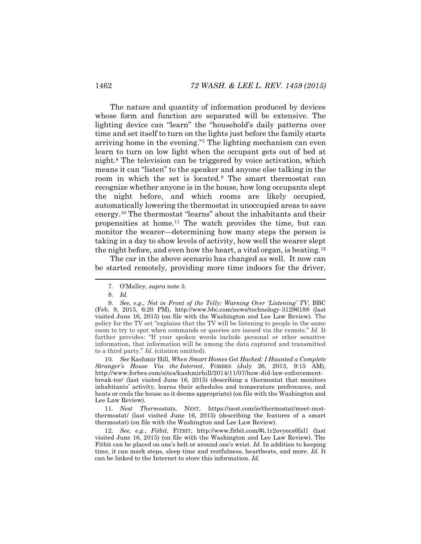The nature and quantity of information produced by devices whose form and function are separated will be extensive. The lighting device can "learn" the "household's daily patterns over time and set itself to turn on the lights just before the family starts arriving home in the evening."<sup>7</sup> The lighting mechanism can even learn to turn on low light when the occupant gets out of bed at night.<sup>8</sup> The television can be triggered by voice activation, which means it can "listen" to the speaker and anyone else talking in the room in which the set is located.<sup>9</sup> The smart thermostat can recognize whether anyone is in the house, how long occupants slept the night before, and which rooms are likely occupied, automatically lowering the thermostat in unoccupied areas to save energy.<sup>10</sup> The thermostat "learns" about the inhabitants and their propensities at home.<sup>11</sup> The watch provides the time, but can monitor the wearer—determining how many steps the person is taking in a day to show levels of activity, how well the wearer slept the night before, and even how the heart, a vital organ, is beating.<sup>12</sup>

<span id="page-4-0"></span>The car in the above scenario has changed as well. It now can be started remotely, providing more time indoors for the driver,

10*. See* Kashmir Hill, *When Smart Homes Get Hacked: I Haunted a Complete Stranger's House Via the Internet*, FORBES (July 26, 2013, 9:15 AM), http://www.forbes.com/sites/kashmirhill/2014/11/07/how-did-law-enforcementbreak-tor/ (last visited June 16, 2015) (describing a thermostat that monitors inhabitants' activity, learns their schedules and temperature preferences, and heats or cools the house as it deems appropriate) (on file with the Washington and Lee Law Review).

11*. Nest Thermostats*, NEST, https://nest.com/ie/thermostat/meet-nestthermostat/ (last visited June 16, 2015) (describing the features of a smart thermostat) (on file with the Washington and Lee Law Review).

12. *See, e.g.*, *Fitbit*, FITBIT, http://www.fitbit.com/#i.1r2ovyecs6fal1 (last visited June 16, 2015) (on file with the Washington and Lee Law Review). The Fitbit can be placed on one's belt or around one's wrist. *Id.* In addition to keeping time, it can mark steps, sleep time and restfulness, heartbeats, and more. *Id.* It can be linked to the Internet to store this information. *Id.*

<span id="page-4-1"></span><sup>7.</sup> O'Malley, *supra* note [3.](#page-3-0)

<sup>8</sup>*. Id.* 

<sup>9</sup>*. See, e.g*., *Not in Front of the Telly: Warning Over 'Listening' TV*, BBC (Feb. 9, 2015, 6:20 PM), <http://www.bbc.com/news/technology-31296188> (last visited June 16, 2015) (on file with the Washington and Lee Law Review). The policy for the TV set "explains that the TV will be listening to people in the same room to try to spot when commands or queries are issued via the remote." *Id.* It further provides: "If your spoken words include personal or other sensitive information, that information will be among the data captured and transmitted to a third party." *Id.* (citation omitted).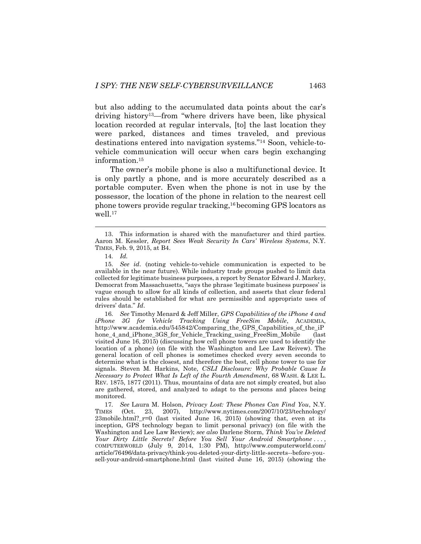but also adding to the accumulated data points about the car's driving history13—from "where drivers have been, like physical location recorded at regular intervals, [to] the last location they were parked, distances and times traveled, and previous destinations entered into navigation systems."<sup>14</sup> Soon, vehicle-tovehicle communication will occur when cars begin exchanging information.<sup>15</sup>

The owner's mobile phone is also a multifunctional device. It is only partly a phone, and is more accurately described as a portable computer. Even when the phone is not in use by the possessor, the location of the phone in relation to the nearest cell phone towers provide regular tracking, <sup>16</sup> becoming GPS locators as well. 17

<span id="page-5-0"></span>l

16*. See* Timothy Menard & Jeff Miller, *GPS Capabilities of the iPhone 4 and iPhone 3G for Vehicle Tracking Using FreeSim Mobile*, ACADEMIA, http://www.academia.edu/545842/Comparing\_the\_GPS\_Capabilities\_of\_the\_iP hone\_4\_and\_iPhone\_3GS\_for\_Vehicle\_Tracking\_using\_FreeSim\_Mobile (last visited June 16, 2015) (discussing how cell phone towers are used to identify the location of a phone) (on file with the Washington and Lee Law Reivew). The general location of cell phones is sometimes checked every seven seconds to determine what is the closest, and therefore the best, cell phone tower to use for signals. Steven M. Harkins, Note, *CSLI Disclosure: Why Probable Cause Is Necessary to Protect What Is Left of the Fourth Amendment*, 68 WASH. & LEE L. REV. 1875, 1877 (2011). Thus, mountains of data are not simply created, but also are gathered, stored, and analyzed to adapt to the persons and places being monitored.

17*. See* Laura M. Holson, *Privacy Lost: These Phones Can Find You*, N.Y. TIMES (Oct. 23, 2007), http://www.nytimes.com/2007/10/23/technology/ 23mobile.html?\_r=0 (last visited June 16, 2015) (showing that, even at its inception, GPS technology began to limit personal privacy) (on file with the Washington and Lee Law Review); *see also* Darlene Storm, *Think You've Deleted Your Dirty Little Secrets? Before You Sell Your Android Smartphone* . . . , COMPUTERWORLD (July 9, 2014, 1:30 PM), http://www.computerworld.com/ article/76496/data-privacy/think-you-deleted-your-dirty-little-secrets--before-yousell-your-android-smartphone.html (last visited June 16, 2015) (showing the

<sup>13.</sup> This information is shared with the manufacturer and third parties. Aaron M. Kessler, *Report Sees Weak Security In Cars' Wireless Systems*, N.Y. TIMES, Feb. 9, 2015, at B4.

<sup>14</sup>*. Id.* 

<sup>15</sup>*. See id*. (noting vehicle-to-vehicle communication is expected to be available in the near future). While industry trade groups pushed to limit data collected for legitimate business purposes, a report by Senator Edward J. Markey, Democrat from Massachusetts, "says the phrase 'legitimate business purposes' is vague enough to allow for all kinds of collection, and asserts that clear federal rules should be established for what are permissible and appropriate uses of drivers' data." *Id*.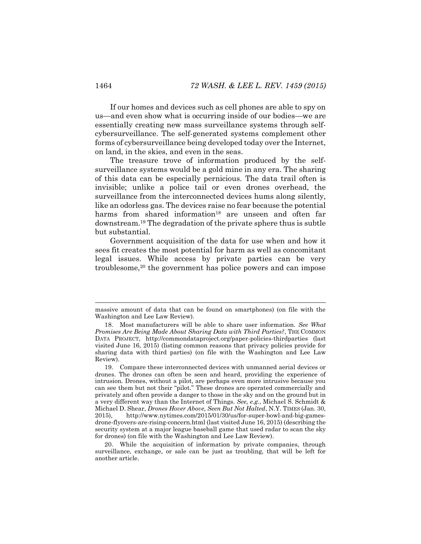If our homes and devices such as cell phones are able to spy on us—and even show what is occurring inside of our bodies—we are essentially creating new mass surveillance systems through selfcybersurveillance. The self-generated systems complement other forms of cybersurveillance being developed today over the Internet, on land, in the skies, and even in the seas.

The treasure trove of information produced by the selfsurveillance systems would be a gold mine in any era. The sharing of this data can be especially pernicious. The data trail often is invisible; unlike a police tail or even drones overhead, the surveillance from the interconnected devices hums along silently, like an odorless gas. The devices raise no fear because the potential harms from shared information<sup>18</sup> are unseen and often far downstream.<sup>19</sup> The degradation of the private sphere thus is subtle but substantial.

Government acquisition of the data for use when and how it sees fit creates the most potential for harm as well as concomitant legal issues. While access by private parties can be very troublesome,<sup>20</sup> the government has police powers and can impose

massive amount of data that can be found on smartphones) (on file with the Washington and Lee Law Review).

<sup>18.</sup> Most manufacturers will be able to share user information. *See What Promises Are Being Made About Sharing Data with Third Parties?*, THE COMMON DATA PROJECT, http://commondataproject.org/paper-policies-thirdparties (last visited June 16, 2015) (listing common reasons that privacy policies provide for sharing data with third parties) (on file with the Washington and Lee Law Review).

<sup>19.</sup> Compare these interconnected devices with unmanned aerial devices or drones. The drones can often be seen and heard, providing the experience of intrusion. Drones, without a pilot, are perhaps even more intrusive because you can see them but not their "pilot." These drones are operated commercially and privately and often provide a danger to those in the sky and on the ground but in a very different way than the Internet of Things. *See, e.g.*, Michael S. Schmidt & Michael D. Shear, *Drones Hover Above, Seen But Not Halted*, N.Y. TIMES (Jan. 30, 2015), http://www.nytimes.com/2015/01/30/us/for-super-bowl-and-big-gamesdrone-flyovers-are-rising-concern.html (last visited June 16, 2015) (describing the security system at a major league baseball game that used radar to scan the sky for drones) (on file with the Washington and Lee Law Review).

<sup>20.</sup> While the acquisition of information by private companies, through surveillance, exchange, or sale can be just as troubling, that will be left for another article.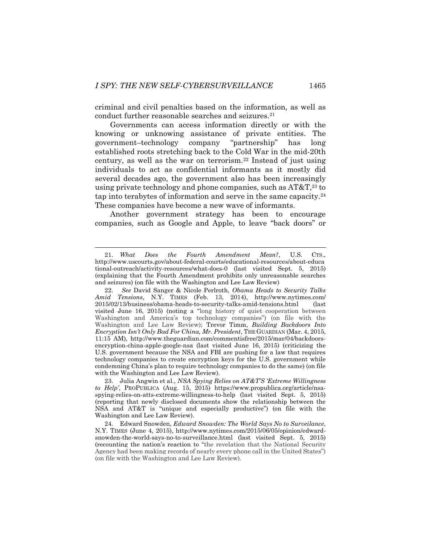criminal and civil penalties based on the information, as well as conduct further reasonable searches and seizures.<sup>21</sup>

<span id="page-7-0"></span>Governments can access information directly or with the knowing or unknowing assistance of private entities. The government–technology company "partnership" has long established roots stretching back to the Cold War in the mid-20th century, as well as the war on terrorism.<sup>22</sup> Instead of just using individuals to act as confidential informants as it mostly did several decades ago, the government also has been increasingly using private technology and phone companies, such as AT&T, <sup>23</sup> to tap into terabytes of information and serve in the same capacity.<sup>24</sup> These companies have become a new wave of informants.

Another government strategy has been to encourage companies, such as Google and Apple, to leave "back doors" or

<sup>21.</sup> *What Does the Fourth Amendment Mean?*, U.S. CTS., http://www.uscourts.gov/about-federal-courts/educational-resources/about-educa tional-outreach/activity-resources/what-does-0 (last visited Sept. 5, 2015) (explaining that the Fourth Amendment prohibits only unreasonable searches and seizures) (on file with the Washington and Lee Law Review)

<sup>22.</sup> *See* David Sanger & Nicole Perlroth, *Obama Heads to Security Talks Amid Tensions*, N.Y. TIMES (Feb. 13, 2014), http://www.nytimes.com/ 2015/02/13/business/obama-heads-to-security-talks-amid-tensions.html (last visited June 16, 2015) (noting a "long history of quiet cooperation between Washington and America's top technology companies") (on file with the Washington and Lee Law Review); Trevor Timm, *Building Backdoors Into Encryption Isn't Only Bad For China, Mr. President*, THE GUARDIAN (Mar. 4, 2015, 11:15 AM), http://www.theguardian.com/commentisfree/2015/mar/04/backdoorsencryption-china-apple-google-nsa (last visited June 16, 2015) (criticizing the U.S. government because the NSA and FBI are pushing for a law that requires technology companies to create encryption keys for the U.S. government while condemning China's plan to require technology companies to do the same) (on file with the Washington and Lee Law Review).

<sup>23.</sup> Julia Angwin et al., *NSA Spying Relies on AT&T'S 'Extreme Willingness to Help'*, PROPUBLICA (Aug. 15, 2015) https://www.propublica.org/article/nsaspying-relies-on-atts-extreme-willingness-to-help (last visited Sept. 5, 2015) (reporting that newly disclosed documents show the relationship between the NSA and AT&T is "unique and especially productive") (on file with the Washington and Lee Law Review).

<sup>24.</sup> Edward Snowden, *Edward Snowden: The World Says No to Surveilance*, N.Y. TIMES (June 4, 2015), [http://www.nytimes.com/2015/06/05/opinion/edward](http://www.nytimes.com/2015/06/05/opinion/edward-snowden-the-world-says-no-to-surveillance.html)[snowden-the-world-says-no-to-surveillance.html](http://www.nytimes.com/2015/06/05/opinion/edward-snowden-the-world-says-no-to-surveillance.html) (last visited Sept. 5, 2015) (recounting the nation's reaction to "the revelation that the National Security Agency had been making records of nearly every phone call in the United States") (on file with the Washington and Lee Law Review).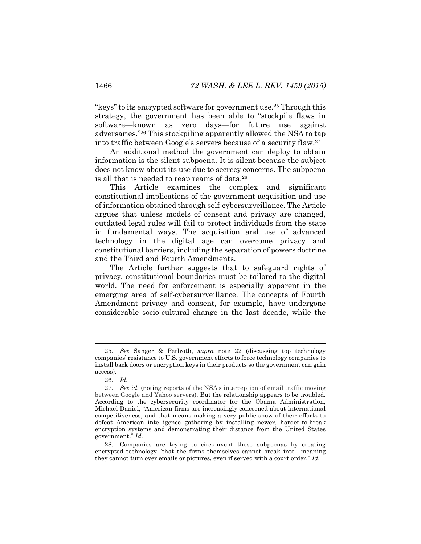"keys" to its encrypted software for government use.<sup>25</sup> Through this strategy, the government has been able to "stockpile flaws in software—known as zero days—for future use against adversaries."<sup>26</sup> This stockpiling apparently allowed the NSA to tap into traffic between Google's servers because of a security flaw.<sup>27</sup>

An additional method the government can deploy to obtain information is the silent subpoena. It is silent because the subject does not know about its use due to secrecy concerns. The subpoena is all that is needed to reap reams of data.<sup>28</sup>

This Article examines the complex and significant constitutional implications of the government acquisition and use of information obtained through self-cybersurveillance. The Article argues that unless models of consent and privacy are changed, outdated legal rules will fail to protect individuals from the state in fundamental ways. The acquisition and use of advanced technology in the digital age can overcome privacy and constitutional barriers, including the separation of powers doctrine and the Third and Fourth Amendments.

The Article further suggests that to safeguard rights of privacy, constitutional boundaries must be tailored to the digital world. The need for enforcement is especially apparent in the emerging area of self-cybersurveillance. The concepts of Fourth Amendment privacy and consent, for example, have undergone considerable socio-cultural change in the last decade, while the

<sup>25</sup>*. See* Sanger & Perlroth, *supra* note [22](#page-7-0) (discussing top technology companies' resistance to U.S. government efforts to force technology companies to install back doors or encryption keys in their products so the government can gain access).

<sup>26</sup>*. Id.*

<sup>27</sup>*. See id.* (noting reports of the NSA's interception of email traffic moving between Google and Yahoo servers). But the relationship appears to be troubled. According to the cybersecurity coordinator for the Obama Administration, Michael Daniel, "American firms are increasingly concerned about international competitiveness, and that means making a very public show of their efforts to defeat American intelligence gathering by installing newer, harder-to-break encryption systems and demonstrating their distance from the United States government." *Id.* 

<sup>28.</sup> Companies are trying to circumvent these subpoenas by creating encrypted technology "that the firms themselves cannot break into—meaning they cannot turn over emails or pictures, even if served with a court order." *Id.*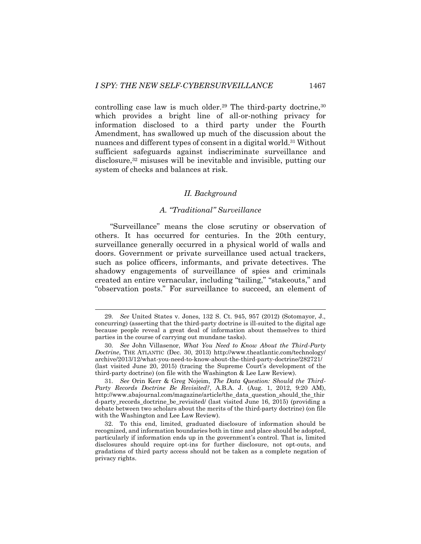controlling case law is much older.<sup>29</sup> The third-party doctrine,<sup>30</sup> which provides a bright line of all-or-nothing privacy for information disclosed to a third party under the Fourth Amendment, has swallowed up much of the discussion about the nuances and different types of consent in a digital world.<sup>31</sup> Without sufficient safeguards against indiscriminate surveillance and disclosure,<sup>32</sup> misuses will be inevitable and invisible, putting our system of checks and balances at risk.

#### <span id="page-9-0"></span>*II. Background*

## *A. "Traditional" Surveillance*

"Surveillance" means the close scrutiny or observation of others. It has occurred for centuries. In the 20th century, surveillance generally occurred in a physical world of walls and doors. Government or private surveillance used actual trackers, such as police officers, informants, and private detectives. The shadowy engagements of surveillance of spies and criminals created an entire vernacular, including "tailing," "stakeouts," and "observation posts." For surveillance to succeed, an element of

<sup>29</sup>*. See* United States v. Jones, 132 S. Ct. 945, 957 (2012) (Sotomayor, J., concurring) (asserting that the third-party doctrine is ill-suited to the digital age because people reveal a great deal of information about themselves to third parties in the course of carrying out mundane tasks).

<sup>30</sup>*. See* John Villasenor, *What You Need to Know About the Third-Party Doctrine*, THE ATLANTIC (Dec. 30, 2013) http://www.theatlantic.com/technology/ archive/2013/12/what-you-need-to-know-about-the-third-party-doctrine/282721/ (last visited June 20, 2015) (tracing the Supreme Court's development of the third-party doctrine) (on file with the Washington & Lee Law Review).

<sup>31</sup>*. See* Orin Kerr & Greg Nojeim, *The Data Question: Should the Third-Party Records Doctrine Be Revisited?*, A.B.A. J. (Aug. 1, 2012, 9:20 AM), http://www.abajournal.com/magazine/article/the\_data\_question\_should\_the\_thir d-party\_records\_doctrine\_be\_revisited/ (last visited June 16, 2015) (providing a debate between two scholars about the merits of the third-party doctrine) (on file with the Washington and Lee Law Review).

<sup>32.</sup> To this end, limited, graduated disclosure of information should be recognized, and information boundaries both in time and place should be adopted, particularly if information ends up in the government's control. That is, limited disclosures should require opt-ins for further disclosure, not opt-outs, and gradations of third party access should not be taken as a complete negation of privacy rights.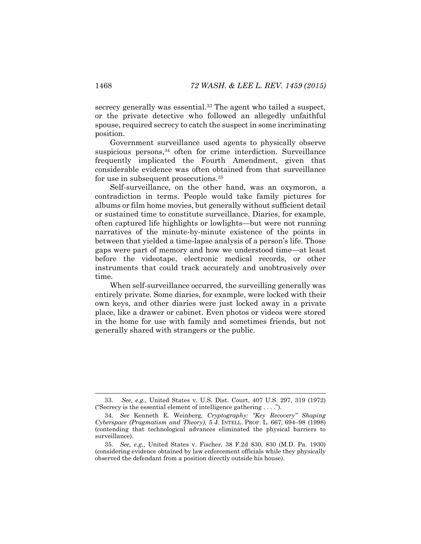secrecy generally was essential.<sup>33</sup> The agent who tailed a suspect, or the private detective who followed an allegedly unfaithful spouse, required secrecy to catch the suspect in some incriminating position.

Government surveillance used agents to physically observe suspicious persons, <sup>34</sup> often for crime interdiction. Surveillance frequently implicated the Fourth Amendment, given that considerable evidence was often obtained from that surveillance for use in subsequent prosecutions.<sup>35</sup>

Self-surveillance, on the other hand, was an oxymoron, a contradiction in terms. People would take family pictures for albums or film home movies, but generally without sufficient detail or sustained time to constitute surveillance. Diaries, for example, often captured life highlights or lowlights—but were not running narratives of the minute-by-minute existence of the points in between that yielded a time-lapse analysis of a person's life. Those gaps were part of memory and how we understood time—at least before the videotape, electronic medical records, or other instruments that could track accurately and unobtrusively over time.

When self-surveillance occurred, the surveilling generally was entirely private. Some diaries, for example, were locked with their own keys, and other diaries were just locked away in a private place, like a drawer or cabinet. Even photos or videos were stored in the home for use with family and sometimes friends, but not generally shared with strangers or the public.

<sup>33.</sup> *See, e.g.*, United States v. U.S. Dist. Court, 407 U.S. 297, 319 (1972) ("Secrecy is the essential element of intelligence gathering . . . .").

<sup>34</sup>*. See* Kenneth E. Weinberg*, Cryptography: "Key Recovery" Shaping Cyberspace (Pragmatism and Theory)*, 5 J. INTELL. PROP. L. 667, 694–98 (1998) (contending that technological advances eliminated the physical barriers to surveillance).

<sup>35</sup>*. See, e.g.*, United States v. Fischer, 38 F.2d 830, 830 (M.D. Pa. 1930) (considering evidence obtained by law enforcement officials while they physically observed the defendant from a position directly outside his house).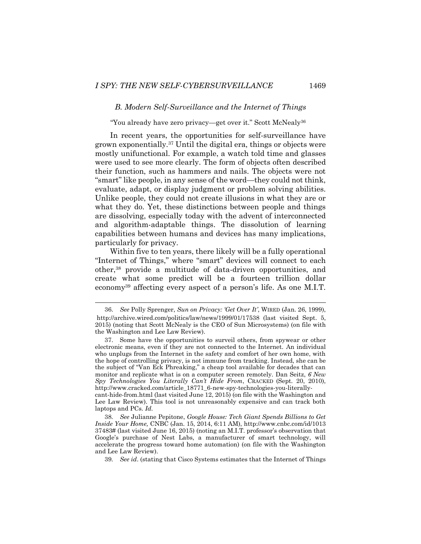#### *B. Modern Self-Surveillance and the Internet of Things*

<span id="page-11-1"></span>"You already have zero privacy—get over it." Scott McNealy<sup>36</sup>

In recent years, the opportunities for self-surveillance have grown exponentially.<sup>37</sup> Until the digital era, things or objects were mostly unifunctional. For example, a watch told time and glasses were used to see more clearly. The form of objects often described their function, such as hammers and nails. The objects were not "smart" like people, in any sense of the word—they could not think, evaluate, adapt, or display judgment or problem solving abilities. Unlike people, they could not create illusions in what they are or what they do. Yet, these distinctions between people and things are dissolving, especially today with the advent of interconnected and algorithm-adaptable things. The dissolution of learning capabilities between humans and devices has many implications, particularly for privacy.

<span id="page-11-0"></span>Within five to ten years, there likely will be a fully operational "Internet of Things," where "smart" devices will connect to each other,<sup>38</sup> provide a multitude of data-driven opportunities, and create what some predict will be a fourteen trillion dollar economy<sup>39</sup> affecting every aspect of a person's life. As one M.I.T.

<sup>36.</sup> *See* Polly Sprenger, *Sun on Privacy: 'Get Over It'*, WIRED (Jan. 26, 1999), <http://archive.wired.com/politics/law/news/1999/01/17538> (last visited Sept. 5, 2015) (noting that Scott McNealy is the CEO of Sun Microsystems) (on file with the Washington and Lee Law Review).

<sup>37.</sup> Some have the opportunities to surveil others, from spywear or other electronic means, even if they are not connected to the Internet. An individual who unplugs from the Internet in the safety and comfort of her own home, with the hope of controlling privacy, is not immune from tracking. Instead, she can be the subject of "Van Eck Phreaking," a cheap tool available for decades that can monitor and replicate what is on a computer screen remotely. Dan Seitz, *6 New Spy Technologies You Literally Can't Hide From*, CRACKED (Sept. 20, 2010), http://www.cracked.com/article\_18771\_6-new-spy-technologies-you-literally-

cant-hide-from.html (last visited June 12, 2015) (on file with the Washington and Lee Law Review). This tool is not unreasonably expensive and can track both laptops and PCs. *Id.*

<sup>38</sup>*. See* Julianne Pepitone, *Google House: Tech Giant Spends Billions to Get Inside Your Home,* CNBC (Jan. 15, 2014, 6:11 AM), http://www.cnbc.com/id/1013 37483# (last visited June 16, 2015) (noting an M.I.T. professor's observation that Google's purchase of Nest Labs, a manufacturer of smart technology, will accelerate the progress toward home automation) (on file with the Washington and Lee Law Review).

<sup>39</sup>*. See id*. (stating that Cisco Systems estimates that the Internet of Things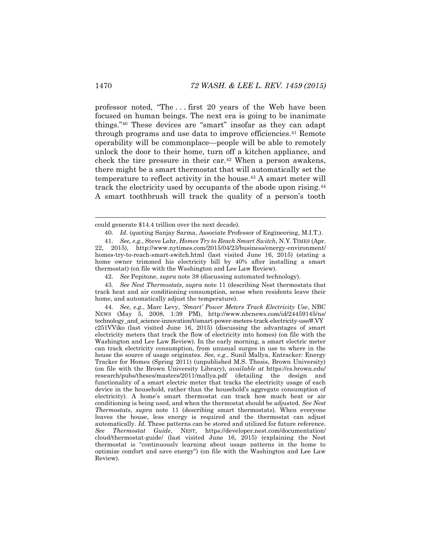professor noted, "The . . . first 20 years of the Web have been focused on human beings. The next era is going to be inanimate things."<sup>40</sup> These devices are "smart" insofar as they can adapt through programs and use data to improve efficiencies.<sup>41</sup> Remote operability will be commonplace—people will be able to remotely unlock the door to their home, turn off a kitchen appliance, and check the tire pressure in their car.<sup>42</sup> When a person awakens, there might be a smart thermostat that will automatically set the temperature to reflect activity in the house.<sup>43</sup> A smart meter will track the electricity used by occupants of the abode upon rising.<sup>44</sup> A smart toothbrush will track the quality of a person's tooth

43*. See Nest Thermostats*, *supra* note [11](#page-4-0) (describing Nest thermostats that track heat and air conditioning consumption, sense when residents leave their home, and automatically adjust the temperature).

44*. See, e.g.*, Marc Levy, *'Smart' Power Meters Track Electricity Use*, NBC NEWS (May 5, 2008, 1:39 PM), http://www.nbcnews.com/id/24459145/ns/ technology\_and\_science-innovation/t/smart-power-meters-track-electricity-use/#.VY c251VViko (last visited June 16, 2015) (discussing the advantages of smart electricity meters that track the flow of electricity into homes) (on file with the Washington and Lee Law Review). In the early morning, a smart electric meter can track electricity consumption, from unusual surges in use to where in the house the source of usage originates. *See, e.g.*, Sunil Mallya, Entracker: Energy Tracker for Homes (Spring 2011) (unpublished M.S. Thesis, Brown University) (on file with the Brown University Library), *available at* https://cs.brown.edu/ research/pubs/theses/masters/2011/mallya.pdf (detailing the design and functionality of a smart electric meter that tracks the electricity usage of each device in the household, rather than the household's aggregate consumption of electricity). A home's smart thermostat can track how much heat or air conditioning is being used, and when the thermostat should be adjusted. *See Nest Thermostats*, *supra* note [11](#page-4-0) (describing smart thermostats). When everyone leaves the house, less energy is required and the thermostat can adjust automatically. *Id.* These patterns can be stored and utilized for future reference. *See Thermostat Guide*, NEST, https://developer.nest.com/documentation/ cloud/thermostat-guide/ (last visited June 16, 2015) (explaining the Nest thermostat is "continuously learning about usage patterns in the home to optimize comfort and save energy") (on file with the Washington and Lee Law Review).

could generate \$14.4 trillion over the next decade).

<sup>40</sup>*. Id*. (quoting Sanjay Sarma, Associate Professor of Engineering, M.I.T.).

<sup>41</sup>*. See, e.g.*, Steve Lohr, *Homes Try to Reach Smart Switch*, N.Y. TIMES (Apr. 22, 2015), http://www.nytimes.com/2015/04/23/business/energy-environment/ homes-try-to-reach-smart-switch.html (last visited June 16, 2015) (stating a home owner trimmed his electricity bill by 40% after installing a smart thermostat) (on file with the Washington and Lee Law Review).

<sup>42.</sup> *See* Pepitone, *supra* note [38](#page-11-0) (discussing automated technology).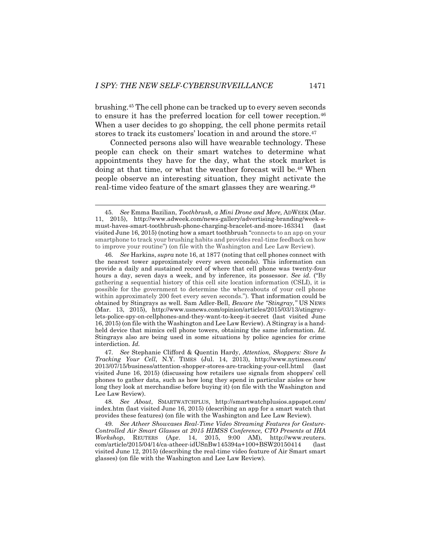<span id="page-13-1"></span>brushing.<sup>45</sup> The cell phone can be tracked up to every seven seconds to ensure it has the preferred location for cell tower reception.<sup>46</sup> When a user decides to go shopping, the cell phone permits retail stores to track its customers' location in and around the store.<sup>47</sup>

<span id="page-13-0"></span>Connected persons also will have wearable technology. These people can check on their smart watches to determine what appointments they have for the day, what the stock market is doing at that time, or what the weather forecast will be.<sup>48</sup> When people observe an interesting situation, they might activate the real-time video feature of the smart glasses they are wearing.<sup>49</sup>

48*. See About*, SMARTWATCHPLUS, http://smartwatchplusios.appspot.com/ index.htm (last visited June 16, 2015) (describing an app for a smart watch that provides these features) (on file with the Washington and Lee Law Review).

49*. See Atheer Showcases Real-Time Video Streaming Features for Gesture-Controlled Air Smart Glasses at 2015 HIMSS Conference, CTO Presents at IHA Workshop*, REUTERS (Apr. 14, 2015, 9:00 AM), http://www.reuters. com/article/2015/04/14/ca-atheer-idUSnBw145394a+100+BSW20150414 (last visited June 12, 2015) (describing the real-time video feature of Air Smart smart glasses) (on file with the Washington and Lee Law Review).

<sup>45</sup>*. See* Emma Bazilian, *Toothbrush, a Mini Drone and More,* ADWEEK (Mar. 11, 2015), http://www.adweek.com/news-gallery/advertising-branding/week-smust-haves-smart-toothbrush-phone-charging-bracelet-and-more-163341 (last visited June 16, 2015) (noting how a smart toothbrush "connects to an app on your smartphone to track your brushing habits and provides real-time feedback on how to improve your routine") (on file with the Washington and Lee Law Review).

<sup>46</sup>*. See* Harkins, *supra* not[e 16,](#page-5-0) at 1877 (noting that cell phones connect with the nearest tower approximately every seven seconds). This information can provide a daily and sustained record of where that cell phone was twenty-four hours a day, seven days a week, and by inference, its possessor. *See id.* ("By gathering a sequential history of this cell site location information (CSLI), it is possible for the government to determine the whereabouts of your cell phone within approximately 200 feet every seven seconds."). That information could be obtained by Stingrays as well. Sam Adler-Bell, *Beware the "Stingray,"* US NEWS (Mar. 13, 2015), http://www.usnews.com/opinion/articles/2015/03/13/stingraylets-police-spy-on-cellphones-and-they-want-to-keep-it-secret (last visited June 16, 2015) (on file with the Washington and Lee Law Review). A Stingray is a handheld device that mimics cell phone towers, obtaining the same information. *Id.*  Stingrays also are being used in some situations by police agencies for crime interdiction. *Id.*

<sup>47</sup>*. See* Stephanie Clifford & Quentin Hardy, *Attention, Shoppers: Store Is Tracking Your Cell*, N.Y. TIMES (Jul. 14, 2013), http://www.nytimes.com/ 2013/07/15/business/attention-shopper-stores-are-tracking-your-cell.html (last visited June 16, 2015) (discussing how retailers use signals from shoppers' cell phones to gather data, such as how long they spend in particular aisles or how long they look at merchandise before buying it) (on file with the Washington and Lee Law Review).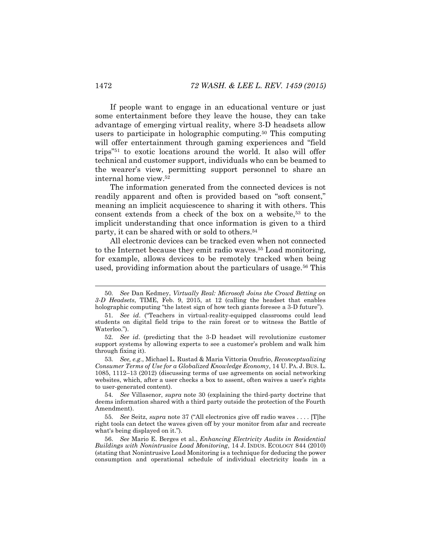If people want to engage in an educational venture or just some entertainment before they leave the house, they can take advantage of emerging virtual reality, where 3-D headsets allow users to participate in holographic computing.<sup>50</sup> This computing will offer entertainment through gaming experiences and "field trips"<sup>51</sup> to exotic locations around the world. It also will offer technical and customer support, individuals who can be beamed to the wearer's view, permitting support personnel to share an internal home view.<sup>52</sup>

The information generated from the connected devices is not readily apparent and often is provided based on "soft consent," meaning an implicit acquiescence to sharing it with others. This consent extends from a check of the box on a website,<sup>53</sup> to the implicit understanding that once information is given to a third party, it can be shared with or sold to others.<sup>54</sup>

All electronic devices can be tracked even when not connected to the Internet because they emit radio waves.<sup>55</sup> Load monitoring, for example, allows devices to be remotely tracked when being used, providing information about the particulars of usage.<sup>56</sup> This

53*. See, e.g.*, Michael L. Rustad & Maria Vittoria Onufrio, *Reconceptualizing Consumer Terms of Use for a Globalized Knowledge Economy*, 14 U. PA. J. BUS. L. 1085, 1112–13 (2012) (discussing terms of use agreements on social networking websites, which, after a user checks a box to assent, often waives a user's rights to user-generated content).

54*. See* Villasenor, *supra* note [30](#page-9-0) (explaining the third-party doctrine that deems information shared with a third party outside the protection of the Fourth Amendment).

55*. See* Seitz, *supra* not[e 37](#page-11-1) ("All electronics give off radio waves . . . . [T]he right tools can detect the waves given off by your monitor from afar and recreate what's being displayed on it.").

56. *See* Mario E. Berges et al., *Enhancing Electricity Audits in Residential Buildings with Nonintrusive Load Monitoring*, 14 J. INDUS. ECOLOGY 844 (2010) (stating that Nonintrusive Load Monitoring is a technique for deducing the power consumption and operational schedule of individual electricity loads in a

<sup>50</sup>*. See* Dan Kedmey, *Virtually Real: Microsoft Joins the Crowd Betting on 3-D Headsets*, TIME, Feb. 9, 2015, at 12 (calling the headset that enables holographic computing "the latest sign of how tech giants foresee a 3-D future").

<sup>51</sup>*. See id*. ("Teachers in virtual-reality-equipped classrooms could lead students on digital field trips to the rain forest or to witness the Battle of Waterloo.").

<sup>52</sup>*. See id*. (predicting that the 3-D headset will revolutionize customer support systems by allowing experts to see a customer's problem and walk him through fixing it).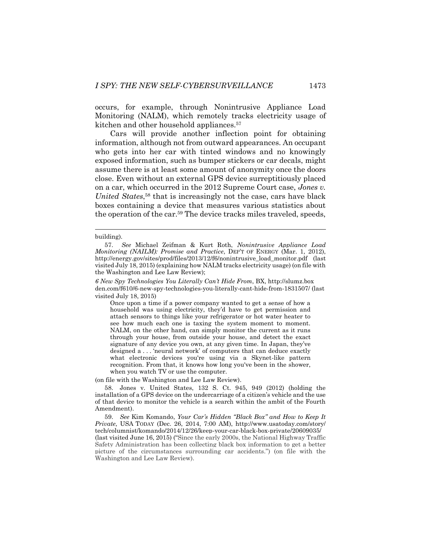occurs, for example, through Nonintrusive Appliance Load Monitoring (NALM), which remotely tracks electricity usage of kitchen and other household appliances. 57

Cars will provide another inflection point for obtaining information, although not from outward appearances. An occupant who gets into her car with tinted windows and no knowingly exposed information, such as bumper stickers or car decals, might assume there is at least some amount of anonymity once the doors close. Even without an external GPS device surreptitiously placed on a car, which occurred in the 2012 Supreme Court case, *Jones v. United States*, <sup>58</sup> that is increasingly not the case, cars have black boxes containing a device that measures various statistics about the operation of the car.<sup>59</sup> The device tracks miles traveled, speeds,

#### building).

Once upon a time if a power company wanted to get a sense of how a household was using electricity, they'd have to get permission and attach sensors to things like your refrigerator or hot water heater to see how much each one is taxing the system moment to moment. NALM, on the other hand, can simply monitor the current as it runs through your house, from outside your house, and detect the exact signature of any device you own, at any given time. In Japan, they've designed a . . . 'neural network' of computers that can deduce exactly what electronic devices you're using via a Skynet-like pattern recognition. From that, it knows how long you've been in the shower, when you watch TV or use the computer.

(on file with the Washington and Lee Law Review).

58. Jones v. United States, 132 S. Ct. 945, 949 (2012) (holding the installation of a GPS device on the undercarriage of a citizen's vehicle and the use of that device to monitor the vehicle is a search within the ambit of the Fourth Amendment).

59. *See* Kim Komando, *Your Car's Hidden "Black Box" and How to Keep It Private*, USA TODAY (Dec. 26, 2014, 7:00 AM), http://www.usatoday.com/story/ tech/columnist/komando/2014/12/26/keep-your-car-black-box-private/20609035/ (last visited June 16, 2015) ("Since the early 2000s, the National Highway Traffic Safety Administration has been collecting black box information to get a better picture of the circumstances surrounding car accidents.") (on file with the Washington and Lee Law Review).

<sup>57.</sup> *See* Michael Zeifman & Kurt Roth, *Nonintrusive Appliance Load Monitoring (NAILM): Promise and Practice*, DEP'T OF ENERGY (Mar. 1, 2012), http://energy.gov/sites/prod/files/2013/12/f6/nonintrusive\_load\_monitor.pdf (last visited July 18, 2015) (explaining how NALM tracks electricity usage) (on file with the Washington and Lee Law Review);

*<sup>6</sup> New Spy Technologies You Literally Can't Hide From*, BX, http://slumz.box den.com/f610/6-new-spy-technologies-you-literally-cant-hide-from-1831507/ (last visited July 18, 2015)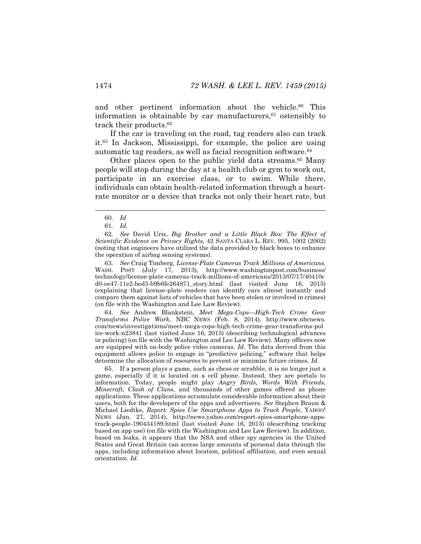and other pertinent information about the vehicle. <sup>60</sup> This information is obtainable by car manufacturers, $61$  ostensibly to track their products.<sup>62</sup>

If the car is traveling on the road, tag readers also can track it.<sup>63</sup> In Jackson, Mississippi, for example, the police are using automatic tag readers, as well as facial recognition software.<sup>64</sup>

Other places open to the public yield data streams.<sup>65</sup> Many people will stop during the day at a health club or gym to work out, participate in an exercise class, or to swim. While there, individuals can obtain health-related information through a heartrate monitor or a device that tracks not only their heart rate, but

l

63*. See* Craig Timberg, *License-Plate Cameras Track Millions of Americans,* WASH. POST (July 17, 2013), http://www.washingtonpost.com/business/ technology/license-plate-cameras-track-millions-of-americans/2013/07/17/40410c d0-ee47-11e2-bed3-b9b6fe264871\_story.html (last visited June 16, 2015) (explaining that license-plate readers can identify cars almost instantly and compare them against lists of vehicles that have been stolen or involved in crimes) (on file with the Washington and Lee Law Review).

64. *See* Andrew Blankstein, *Meet Mega-Cops—High-Tech Crime Gear Transforms Police Work*, NBC NEWS (Feb. 8, 2014), http://www.nbcnews. com/news/investigations/meet-mega-cops-high-tech-crime-gear-transforms-pol ice-work-n23841 (last visited June 16, 2015) (describing technological advances in policing) (on file with the Washington and Lee Law Review). Many officers now are equipped with on-body police video cameras. *Id.* The data derived from this equipment allows police to engage in "predictive policing," software that helps determine the allocation of resources to prevent or minimize future crimes. *Id.*

65. If a person plays a game, such as chess or scrabble, it is no longer just a game, especially if it is located on a cell phone. Instead, they are portals to information. Today, people might play *Angry Birds*, *Words With Friends*, *Minecraft, Clash of Clans*, and thousands of other games offered as phone applications. These applications accumulate considerable information about their users, both for the developers of the apps and advertisers. *See* Stephen Braun & Michael Liedtke, *Report: Spies Use Smartphone Apps to Track People*, YAHOO! NEWS (Jan. 27, 2014), http://news.yahoo.com/report-spies-smartphone-appstrack-people-190434189.html (last visited June 16, 2015) (describing tracking based on app use) (on file with the Washington and Lee Law Review). In addition, based on leaks, it appears that the NSA and other spy agencies in the United States and Great Britain can access large amounts of personal data through the apps, including information about location, political affiliation, and even sexual orientation. *Id.* 

<sup>60</sup>*. Id*

<sup>61</sup>*. Id.*

<sup>62</sup>*. See* David Uris, *Big Brother and a Little Black Box: The Effect of Scientific Evidence on Privacy Rights*, 42 SANTA CLARA L. REV. 995, 1002 (2002) (noting that engineers have utilized the data provided by black boxes to enhance the operation of airbag sensing systems).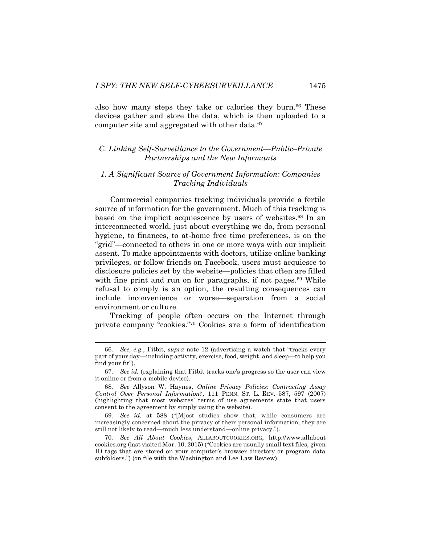also how many steps they take or calories they burn.<sup>66</sup> These devices gather and store the data, which is then uploaded to a computer site and aggregated with other data.<sup>67</sup>

# *C. Linking Self-Surveillance to the Government—Public–Private Partnerships and the New Informants*

# <span id="page-17-0"></span>*1. A Significant Source of Government Information: Companies Tracking Individuals*

Commercial companies tracking individuals provide a fertile source of information for the government. Much of this tracking is based on the implicit acquiescence by users of websites. <sup>68</sup> In an interconnected world, just about everything we do, from personal hygiene, to finances, to at-home free time preferences, is on the "grid"—connected to others in one or more ways with our implicit assent. To make appointments with doctors, utilize online banking privileges, or follow friends on Facebook, users must acquiesce to disclosure policies set by the website—policies that often are filled with fine print and run on for paragraphs, if not pages.<sup>69</sup> While refusal to comply is an option, the resulting consequences can include inconvenience or worse—separation from a social environment or culture.

Tracking of people often occurs on the Internet through private company "cookies." <sup>70</sup> Cookies are a form of identification

<sup>66</sup>*. See, e.g.*, Fitbit, *supra* note [12](#page-4-1) (advertising a watch that "tracks every part of your day—including activity, exercise, food, weight, and sleep—to help you find your fit").

<sup>67</sup>*. See id.* (explaining that Fitbit tracks one's progress so the user can view it online or from a mobile device).

<sup>68</sup>*. See* Allyson W. Haynes, *Online Privacy Policies: Contracting Away Control Over Personal Information?*, 111 PENN. ST. L. REV. 587, 597 (2007) (highlighting that most websites' terms of use agreements state that users consent to the agreement by simply using the website).

<sup>69</sup>*. See id.* at 588 ("[M]ost studies show that, while consumers are increasingly concerned about the privacy of their personal information, they are still not likely to read—much less understand—online privacy.").

<sup>70</sup>*. See All About Cookies*, ALLABOUTCOOKIES.ORG, http://www.allabout cookies.org (last visited Mar. 10, 2015) ("Cookies are usually small text files, given ID tags that are stored on your computer's browser directory or program data subfolders.") (on file with the Washington and Lee Law Review).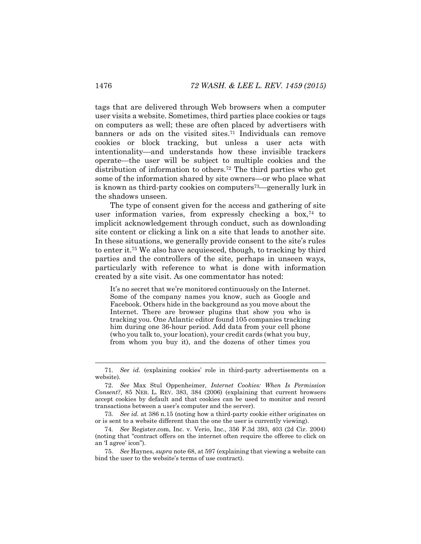tags that are delivered through Web browsers when a computer user visits a website. Sometimes, third parties place cookies or tags on computers as well; these are often placed by advertisers with banners or ads on the visited sites.<sup>71</sup> Individuals can remove cookies or block tracking, but unless a user acts with intentionality—and understands how these invisible trackers operate—the user will be subject to multiple cookies and the distribution of information to others.<sup>72</sup> The third parties who get some of the information shared by site owners—or who place what is known as third-party cookies on computers73—generally lurk in the shadows unseen.

The type of consent given for the access and gathering of site user information varies, from expressly checking a box,<sup>74</sup> to implicit acknowledgement through conduct, such as downloading site content or clicking a link on a site that leads to another site. In these situations, we generally provide consent to the site's rules to enter it.<sup>75</sup> We also have acquiesced, though, to tracking by third parties and the controllers of the site, perhaps in unseen ways, particularly with reference to what is done with information created by a site visit. As one commentator has noted:

It's no secret that we're monitored continuously on the Internet. Some of the company names you know, such as Google and Facebook. Others hide in the background as you move about the Internet. There are browser plugins that show you who is tracking you. One Atlantic editor found 105 companies tracking him during one 36-hour period. Add data from your cell phone (who you talk to, your location), your credit cards (what you buy, from whom you buy it), and the dozens of other times you

<sup>71</sup>*. See id.* (explaining cookies' role in third-party advertisements on a website).

<sup>72.</sup> *See* Max Stul Oppenheimer, *Internet Cookies: When Is Permission Consent?*, 85 NEB. L. REV. 383, 384 (2006) (explaining that current browsers accept cookies by default and that cookies can be used to monitor and record transactions between a user's computer and the server).

<sup>73</sup>*. See id.* at 386 n.15 (noting how a third-party cookie either originates on or is sent to a website different than the one the user is currently viewing).

<sup>74</sup>*. See* Register.com, Inc. v. Verio, Inc., 356 F.3d 393, 403 (2d Cir. 2004) (noting that "contract offers on the internet often require the offeree to click on an 'I agree' icon").

<sup>75</sup>*. See* Haynes, *supra* not[e 68,](#page-17-0) at 597 (explaining that viewing a website can bind the user to the website's terms of use contract).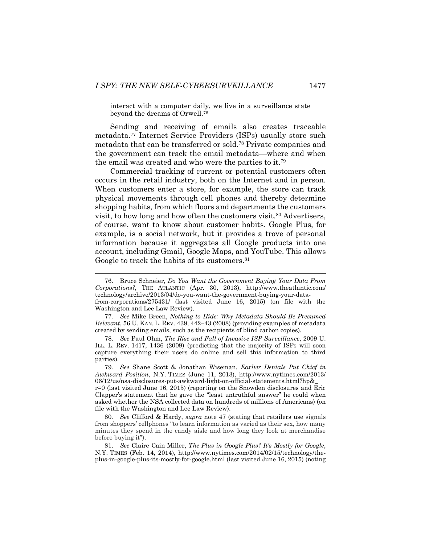interact with a computer daily, we live in a surveillance state beyond the dreams of Orwell.<sup>76</sup>

Sending and receiving of emails also creates traceable metadata.<sup>77</sup> Internet Service Providers (ISPs) usually store such metadata that can be transferred or sold.<sup>78</sup> Private companies and the government can track the email metadata—where and when the email was created and who were the parties to it.<sup>79</sup>

Commercial tracking of current or potential customers often occurs in the retail industry, both on the Internet and in person. When customers enter a store, for example, the store can track physical movements through cell phones and thereby determine shopping habits, from which floors and departments the customers visit, to how long and how often the customers visit.<sup>80</sup> Advertisers, of course, want to know about customer habits. Google Plus, for example, is a social network, but it provides a trove of personal information because it aggregates all Google products into one account, including Gmail, Google Maps, and YouTube. This allows Google to track the habits of its customers.<sup>81</sup>

<sup>76.</sup> Bruce Schneier, *Do You Want the Government Buying Your Data From Corporations?*, THE ATLANTIC (Apr. 30, 2013), http://www.theatlantic.com/ technology/archive/2013/04/do-you-want-the-government-buying-your-datafrom-corporations/275431/ (last visited June 16, 2015) (on file with the Washington and Lee Law Review).

<sup>77</sup>*. See* Mike Breen, *Nothing to Hide: Why Metadata Should Be Presumed Relevant*, 56 U. KAN. L. REV. 439, 442–43 (2008) (providing examples of metadata created by sending emails, such as the recipients of blind carbon copies).

<sup>78.</sup> *See* Paul Ohm, *The Rise and Fall of Invasive ISP Surveillance*, 2009 U. ILL. L. REV. 1417, 1436 (2009) (predicting that the majority of ISPs will soon capture everything their users do online and sell this information to third parties).

<sup>79</sup>*. See* Shane Scott & Jonathan Wiseman, *Earlier Denials Put Chief in Awkward Position*, N.Y. TIMES (June 11, 2013), http://www.nytimes.com/2013/ 06/12/us/nsa-disclosures-put-awkward-light-on-official-statements.html?hp&\_ r=0 (last visited June 16, 2015) (reporting on the Snowden disclosures and Eric

Clapper's statement that he gave the "least untruthful answer" he could when asked whether the NSA collected data on hundreds of millions of Americans) (on file with the Washington and Lee Law Review).

<sup>80</sup>*. See* Clifford & Hardy, *supra* note [47](#page-13-0) (stating that retailers use signals from shoppers' cellphones "to learn information as varied as their sex, how many minutes they spend in the candy aisle and how long they look at merchandise before buying it").

<sup>81.</sup> *See* Claire Cain Miller, *The Plus in Google Plus? It's Mostly for Google*, N.Y. TIMES (Feb. 14, 2014), http://www.nytimes.com/2014/02/15/technology/theplus-in-google-plus-its-mostly-for-google.html (last visited June 16, 2015) (noting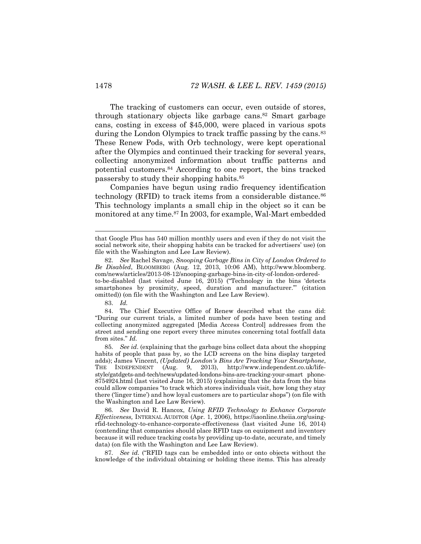The tracking of customers can occur, even outside of stores, through stationary objects like garbage cans.<sup>82</sup> Smart garbage cans, costing in excess of \$45,000, were placed in various spots during the London Olympics to track traffic passing by the cans.<sup>83</sup> These Renew Pods, with Orb technology, were kept operational after the Olympics and continued their tracking for several years, collecting anonymized information about traffic patterns and potential customers.<sup>84</sup> According to one report, the bins tracked passersby to study their shopping habits.<sup>85</sup>

Companies have begun using radio frequency identification technology (RFID) to track items from a considerable distance.<sup>86</sup> This technology implants a small chip in the object so it can be monitored at any time.<sup>87</sup> In 2003, for example, Wal-Mart embedded

83. *Id.*

l

84. The Chief Executive Office of Renew described what the cans did: "During our current trials, a limited number of pods have been testing and collecting anonymized aggregated [Media Access Control] addresses from the street and sending one report every three minutes concerning total footfall data from sites." *Id.*

85*. See id*. (explaining that the garbage bins collect data about the shopping habits of people that pass by, so the LCD screens on the bins display targeted adds); James Vincent, *(Updated) London's Bins Are Tracking Your Smartphone*, THE INDEPENDENT (Aug. 9, 2013), http://www.independent.co.uk/lifestyle/gatdgets-and-tech/news/updated-londons-bins-are-tracking-your-smart phone-8754924.html (last visited June 16, 2015) (explaining that the data from the bins could allow companies "to track which stores individuals visit, how long they stay there ('linger time') and how loyal customers are to particular shops") (on file with the Washington and Lee Law Review).

86*. See* David R. Hancox, *Using RFID Technology to Enhance Corporate Effectiveness,* INTERNAL AUDITOR (Apr. 1, 2006), https://iaonline.theiia.org/usingrfid-technology-to-enhance-corporate-effectiveness (last visited June 16, 2014) (contending that companies should place RFID tags on equipment and inventory because it will reduce tracking costs by providing up-to-date, accurate, and timely data) (on file with the Washington and Lee Law Review).

87*. See id.* ("RFID tags can be embedded into or onto objects without the knowledge of the individual obtaining or holding these items. This has already

that Google Plus has 540 million monthly users and even if they do not visit the social network site, their shopping habits can be tracked for advertisers' use) (on file with the Washington and Lee Law Review).

<sup>82.</sup> *See* Rachel Savage, *Snooping Garbage Bins in City of London Ordered to Be Disabled*, BLOOMBERG (Aug. 12, 2013, 10:06 AM), http://www.bloomberg. com/news/articles/2013-08-12/snooping-garbage-bins-in-city-of-london-orderedto-be-disabled (last visited June 16, 2015) ("Technology in the bins 'detects smartphones by proximity, speed, duration and manufacturer.'" (citation omitted)) (on file with the Washington and Lee Law Review).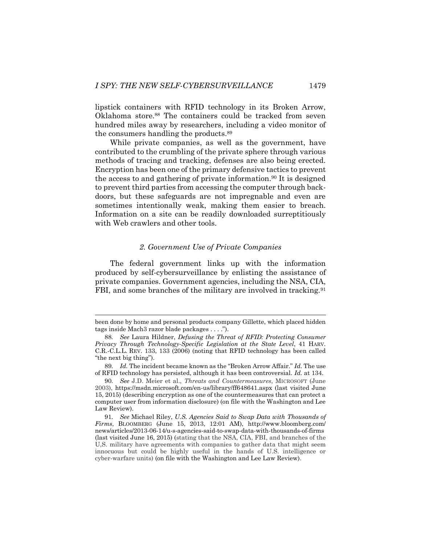lipstick containers with RFID technology in its Broken Arrow, Oklahoma store.<sup>88</sup> The containers could be tracked from seven hundred miles away by researchers, including a video monitor of the consumers handling the products.<sup>89</sup>

While private companies, as well as the government, have contributed to the crumbling of the private sphere through various methods of tracing and tracking, defenses are also being erected. Encryption has been one of the primary defensive tactics to prevent the access to and gathering of private information.<sup>90</sup> It is designed to prevent third parties from accessing the computer through backdoors, but these safeguards are not impregnable and even are sometimes intentionally weak, making them easier to breach. Information on a site can be readily downloaded surreptitiously with Web crawlers and other tools.

#### <span id="page-21-0"></span>*2. Government Use of Private Companies*

The federal government links up with the information produced by self-cybersurveillance by enlisting the assistance of private companies. Government agencies, including the NSA, CIA, FBI, and some branches of the military are involved in tracking.<sup>91</sup>

been done by home and personal products company Gillette, which placed hidden tags inside Mach3 razor blade packages . . . .").

<sup>88</sup>*. See* Laura Hildner, *Defusing the Threat of RFID: Protecting Consumer Privacy Through Technology-Specific Legislation at the State Level*, 41 HARV. C.R.-C.L.L. REV. 133, 133 (2006) (noting that RFID technology has been called "the next big thing").

<sup>89</sup>*. Id.* The incident became known as the "Broken Arrow Affair." *Id.* The use of RFID technology has persisted, although it has been controversial. *Id.* at 134.

<sup>90</sup>*. See* J.D. Meier et al., *Threats and Countermeasures*, MICROSOFT (June 2003), https://msdn.microsoft.com/en-us/library/ff648641.aspx (last visited June 15, 2015) (describing encryption as one of the countermeasures that can protect a computer user from information disclosure) (on file with the Washington and Lee Law Review).

<sup>91</sup>*. See* Michael Riley, *U.S. Agencies Said to Swap Data with Thousands of Firms*, BLOOMBERG (June 15, 2013, 12:01 AM), http://www.bloomberg.com/ news/articles/2013-06-14/u-s-agencies-said-to-swap-data-with-thousands-of-firms (last visited June 16, 2015) (stating that the NSA, CIA, FBI, and branches of the U,S. military have agreements with companies to gather data that might seem innocuous but could be highly useful in the hands of U.S. intelligence or cyber-warfare units) (on file with the Washington and Lee Law Review).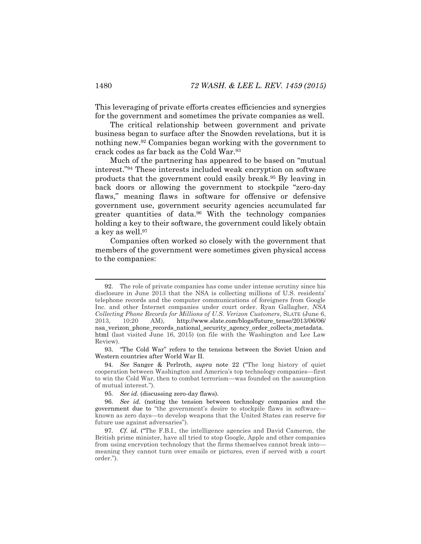This leveraging of private efforts creates efficiencies and synergies for the government and sometimes the private companies as well.

The critical relationship between government and private business began to surface after the Snowden revelations, but it is nothing new.<sup>92</sup> Companies began working with the government to crack codes as far back as the Cold War.<sup>93</sup>

Much of the partnering has appeared to be based on "mutual interest."<sup>94</sup> These interests included weak encryption on software products that the government could easily break.<sup>95</sup> By leaving in back doors or allowing the government to stockpile "zero-day flaws," meaning flaws in software for offensive or defensive government use, government security agencies accumulated far greater quantities of data.<sup>96</sup> With the technology companies holding a key to their software, the government could likely obtain a key as well.<sup>97</sup>

Companies often worked so closely with the government that members of the government were sometimes given physical access to the companies:

93. "The Cold War" refers to the tensions between the Soviet Union and Western countries after World War II.

<sup>92.</sup> The role of private companies has come under intense scrutiny since his disclosure in June 2013 that the NSA is collecting millions of U.S. residents' telephone records and the computer communications of foreigners from Google Inc. and other Internet companies under court order. Ryan Gallagher, *NSA Collecting Phone Records for Millions of U.S. Verizon Customers*, SLATE (June 6, 2013, 10:20 AM), http://www.slate.com/blogs/future\_tense/2013/06/06/ nsa\_verizon\_phone\_records\_national\_security\_agency\_order\_collects\_metadata. html (last visited June 16, 2015) (on file with the Washington and Lee Law Review).

<sup>94</sup>*. See* Sanger & Perlroth, *supra* note [22](#page-7-0) ("The long history of quiet cooperation between Washington and America's top technology companies—first to win the Cold War, then to combat terrorism—was founded on the assumption of mutual interest.").

<sup>95</sup>*. See id.* (discussing zero-day flaws).

<sup>96</sup>*. See id.* (noting the tension between technology companies and the government due to "the government's desire to stockpile flaws in software known as zero days—to develop weapons that the United States can reserve for future use against adversaries").

<sup>97</sup>*. Cf. id.* ("The F.B.I., the intelligence agencies and David Cameron, the British prime minister, have all tried to stop Google, Apple and other companies from using encryption technology that the firms themselves cannot break into meaning they cannot turn over emails or pictures, even if served with a court order.").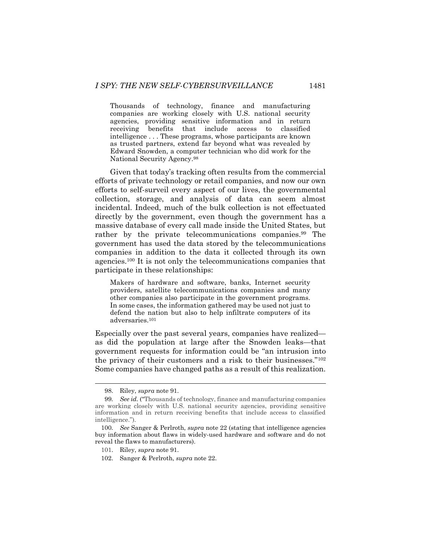Thousands of technology, finance and manufacturing companies are working closely with U.S. national security agencies, providing sensitive information and in return receiving benefits that include access to classified intelligence . . . These programs, whose participants are known as trusted partners, extend far beyond what was revealed by Edward Snowden, a computer technician who did work for the National Security Agency.<sup>98</sup>

Given that today's tracking often results from the commercial efforts of private technology or retail companies, and now our own efforts to self-surveil every aspect of our lives, the governmental collection, storage, and analysis of data can seem almost incidental. Indeed, much of the bulk collection is not effectuated directly by the government, even though the government has a massive database of every call made inside the United States, but rather by the private telecommunications companies.<sup>99</sup> The government has used the data stored by the telecommunications companies in addition to the data it collected through its own agencies.<sup>100</sup> It is not only the telecommunications companies that participate in these relationships:

Makers of hardware and software, banks, Internet security providers, satellite telecommunications companies and many other companies also participate in the government programs. In some cases, the information gathered may be used not just to defend the nation but also to help infiltrate computers of its adversaries.<sup>101</sup>

Especially over the past several years, companies have realized as did the population at large after the Snowden leaks—that government requests for information could be "an intrusion into the privacy of their customers and a risk to their businesses."<sup>102</sup> Some companies have changed paths as a result of this realization.

<sup>98.</sup> Riley, *supra* not[e 91.](#page-21-0)

<sup>99</sup>*. See id.* ("Thousands of technology, finance and manufacturing companies are working closely with U.S. national security agencies, providing sensitive information and in return receiving benefits that include access to classified intelligence.").

<sup>100</sup>*. See* Sanger & Perlroth, *supra* note [22](#page-7-0) (stating that intelligence agencies buy information about flaws in widely-used hardware and software and do not reveal the flaws to manufacturers).

<sup>101.</sup> Riley, *supra* not[e 91.](#page-21-0)

<sup>102.</sup> Sanger & Perlroth, *supra* not[e 22.](#page-7-0)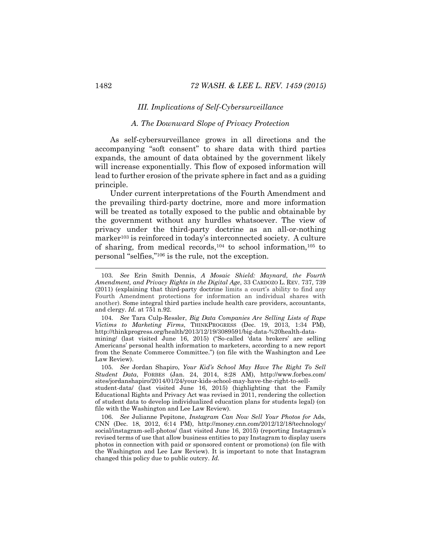#### *III. Implications of Self-Cybersurveillance*

#### *A. The Downward Slope of Privacy Protection*

As self-cybersurveillance grows in all directions and the accompanying "soft consent" to share data with third parties expands, the amount of data obtained by the government likely will increase exponentially. This flow of exposed information will lead to further erosion of the private sphere in fact and as a guiding principle.

Under current interpretations of the Fourth Amendment and the prevailing third-party doctrine, more and more information will be treated as totally exposed to the public and obtainable by the government without any hurdles whatsoever. The view of privacy under the third-party doctrine as an all-or-nothing marker<sup>103</sup> is reinforced in today's interconnected society. A culture of sharing, from medical records,  $104$  to school information,  $105$  to personal "selfies," <sup>106</sup> is the rule, not the exception.

104*. See* Tara Culp-Ressler, *Big Data Companies Are Selling Lists of Rape Victims to Marketing Firms*, THINKPROGRESS (Dec. 19, 2013, 1:34 PM), http://thinkprogress.org/health/2013/12/19/3089591/big-data-%20health-datamining/ (last visited June 16, 2015) ("So-called 'data brokers' are selling

Americans' personal health information to marketers, according to a new report from the Senate Commerce Committee.") (on file with the Washington and Lee Law Review).

105*. See* Jordan Shapiro, *Your Kid's School May Have The Right To Sell Student Data*, FORBES (Jan. 24, 2014, 8:28 AM), http://www.forbes.com/ sites/jordanshapiro/2014/01/24/your-kids-school-may-have-the-right-to-sell-

student-data/ (last visited June 16, 2015) (highlighting that the Family Educational Rights and Privacy Act was revised in 2011, rendering the collection of student data to develop individualized education plans for students legal) (on file with the Washington and Lee Law Review).

106*. See* Julianne Pepitone, *Instagram Can Now Sell Your Photos for* Ads, CNN (Dec. 18, 2012, 6:14 PM), http://money.cnn.com/2012/12/18/technology/ social/instagram-sell-photos/ (last visited June 16, 2015) (reporting Instagram's revised terms of use that allow business entities to pay Instagram to display users photos in connection with paid or sponsored content or promotions) (on file with the Washington and Lee Law Review). It is important to note that Instagram changed this policy due to public outcry. *Id.*

<sup>103</sup>*. See* Erin Smith Dennis, *A Mosaic Shield: Maynard, the Fourth Amendment, and Privacy Rights in the Digital Age*, 33 CARDOZO L. REV. 737, 739 (2011) (explaining that third-party doctrine limits a court's ability to find any Fourth Amendment protections for information an individual shares with another). Some integral third parties include health care providers, accountants, and clergy. *Id.* at 751 n.92.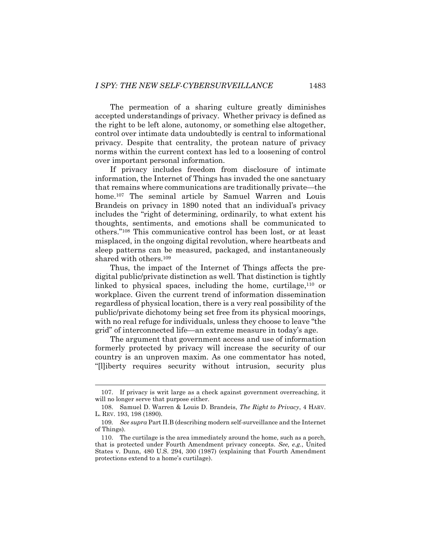The permeation of a sharing culture greatly diminishes accepted understandings of privacy. Whether privacy is defined as the right to be left alone, autonomy, or something else altogether, control over intimate data undoubtedly is central to informational privacy. Despite that centrality, the protean nature of privacy norms within the current context has led to a loosening of control over important personal information.

If privacy includes freedom from disclosure of intimate information, the Internet of Things has invaded the one sanctuary that remains where communications are traditionally private—the home.<sup>107</sup> The seminal article by Samuel Warren and Louis Brandeis on privacy in 1890 noted that an individual's privacy includes the "right of determining, ordinarily, to what extent his thoughts, sentiments, and emotions shall be communicated to others."<sup>108</sup> This communicative control has been lost, or at least misplaced, in the ongoing digital revolution, where heartbeats and sleep patterns can be measured, packaged, and instantaneously shared with others.<sup>109</sup>

Thus, the impact of the Internet of Things affects the predigital public/private distinction as well. That distinction is tightly linked to physical spaces, including the home, curtilage,<sup>110</sup> or workplace. Given the current trend of information dissemination regardless of physical location, there is a very real possibility of the public/private dichotomy being set free from its physical moorings, with no real refuge for individuals, unless they choose to leave "the grid" of interconnected life—an extreme measure in today's age.

The argument that government access and use of information formerly protected by privacy will increase the security of our country is an unproven maxim. As one commentator has noted, "[l]iberty requires security without intrusion, security plus

<sup>107.</sup> If privacy is writ large as a check against government overreaching, it will no longer serve that purpose either.

<sup>108.</sup> Samuel D. Warren & Louis D. Brandeis, *The Right to Privacy*, 4 HARV. L. REV. 193, 198 (1890).

<sup>109</sup>*. See supra* Part II.B (describing modern self-surveillance and the Internet of Things).

<sup>110.</sup> The curtilage is the area immediately around the home, such as a porch, that is protected under Fourth Amendment privacy concepts. *See, e.g.*, United States v. Dunn, 480 U.S. 294, 300 (1987) (explaining that Fourth Amendment protections extend to a home's curtilage).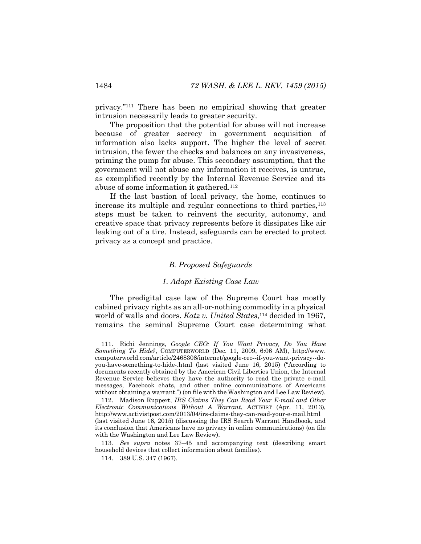privacy."<sup>111</sup> There has been no empirical showing that greater intrusion necessarily leads to greater security.

The proposition that the potential for abuse will not increase because of greater secrecy in government acquisition of information also lacks support. The higher the level of secret intrusion, the fewer the checks and balances on any invasiveness, priming the pump for abuse. This secondary assumption, that the government will not abuse any information it receives, is untrue, as exemplified recently by the Internal Revenue Service and its abuse of some information it gathered.<sup>112</sup>

If the last bastion of local privacy, the home, continues to increase its multiple and regular connections to third parties,<sup>113</sup> steps must be taken to reinvent the security, autonomy, and creative space that privacy represents before it dissipates like air leaking out of a tire. Instead, safeguards can be erected to protect privacy as a concept and practice.

#### *B. Proposed Safeguards*

#### *1. Adapt Existing Case Law*

The predigital case law of the Supreme Court has mostly cabined privacy rights as an all-or-nothing commodity in a physical world of walls and doors. *Katz v. United States*,<sup>114</sup> decided in 1967, remains the seminal Supreme Court case determining what

<sup>111.</sup> Richi Jennings, *Google CEO: If You Want Privacy, Do You Have Something To Hide?*, COMPUTERWORLD (Dec. 11, 2009, 6:06 AM), http://www. computerworld.com/article/2468308/internet/google-ceo--if-you-want-privacy--doyou-have-something-to-hide-.html (last visited June 16, 2015) ("According to documents recently obtained by the American Civil Liberties Union, the Internal Revenue Service believes they have the authority to read the private e-mail messages, Facebook chats, and other online communications of Americans without obtaining a warrant.") (on file with the Washington and Lee Law Review).

<sup>112.</sup> Madison Ruppert, *IRS Claims They Can Read Your E-mail and Other Electronic Communications Without A Warrant*, ACTIVIST (Apr. 11, 2013), http://www.activistpost.com/2013/04/irs-claims-they-can-read-your-e-mail.html (last visited June 16, 2015) (discussing the IRS Search Warrant Handbook, and its conclusion that Americans have no privacy in online communications) (on file with the Washington and Lee Law Review).

<sup>113</sup>*. See supra* notes [37](#page-11-1)–[45](#page-13-1) and accompanying text (describing smart household devices that collect information about families).

<sup>114.</sup> 389 U.S. 347 (1967).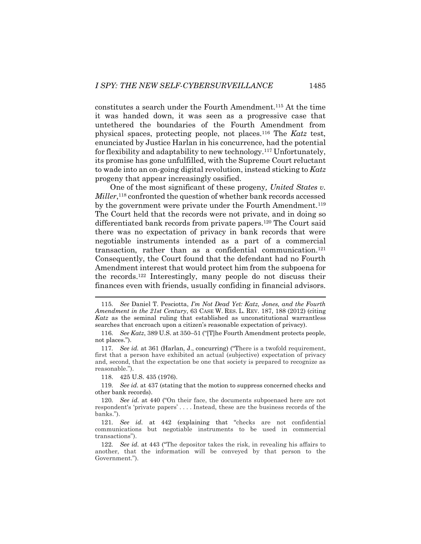constitutes a search under the Fourth Amendment.<sup>115</sup> At the time it was handed down, it was seen as a progressive case that untethered the boundaries of the Fourth Amendment from physical spaces, protecting people, not places.<sup>116</sup> The *Katz* test, enunciated by Justice Harlan in his concurrence, had the potential for flexibility and adaptability to new technology.<sup>117</sup> Unfortunately, its promise has gone unfulfilled, with the Supreme Court reluctant to wade into an on-going digital revolution, instead sticking to *Katz* progeny that appear increasingly ossified.

One of the most significant of these progeny*, United States v.*  Miller,<sup>118</sup> confronted the question of whether bank records accessed by the government were private under the Fourth Amendment.<sup>119</sup> The Court held that the records were not private, and in doing so differentiated bank records from private papers.<sup>120</sup> The Court said there was no expectation of privacy in bank records that were negotiable instruments intended as a part of a commercial transaction, rather than as a confidential communication.<sup>121</sup> Consequently, the Court found that the defendant had no Fourth Amendment interest that would protect him from the subpoena for the records.<sup>122</sup> Interestingly, many people do not discuss their finances even with friends, usually confiding in financial advisors.

118. 425 U.S. 435 (1976).

l

119*. See id.* at 437 (stating that the motion to suppress concerned checks and other bank records).

<sup>115</sup>*. See* Daniel T. Pesciotta, *I'm Not Dead Yet: Katz, Jones, and the Fourth Amendment in the 21st Century*, 63 CASE W. RES. L. REV. 187, 188 (2012) (citing *Katz* as the seminal ruling that established as unconstitutional warrantless searches that encroach upon a citizen's reasonable expectation of privacy).

<sup>116</sup>*. See Katz*, 389 U.S. at 350–51 ("[T]he Fourth Amendment protects people, not places.").

<sup>117</sup>*. See id.* at 361 (Harlan, J., concurring) ("There is a twofold requirement, first that a person have exhibited an actual (subjective) expectation of privacy and, second, that the expectation be one that society is prepared to recognize as reasonable.").

<sup>120</sup>*. See id.* at 440 ("On their face, the documents subpoenaed here are not respondent's 'private papers' . . . . Instead, these are the business records of the banks.").

<sup>121</sup>*. See id.* at 442 (explaining that "checks are not confidential communications but negotiable instruments to be used in commercial transactions").

<sup>122</sup>*. See id.* at 443 ("The depositor takes the risk, in revealing his affairs to another, that the information will be conveyed by that person to the Government.").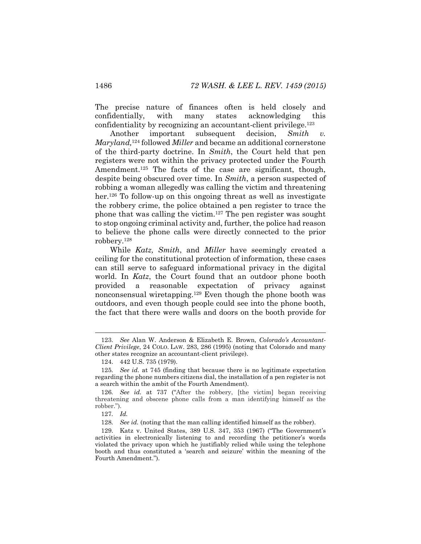The precise nature of finances often is held closely and confidentially, with many states acknowledging this confidentiality by recognizing an accountant-client privilege.<sup>123</sup>

Another important subsequent decision, *Smith v. Maryland,* <sup>124</sup> followed *Miller* and became an additional cornerstone of the third-party doctrine. In *Smith*, the Court held that pen registers were not within the privacy protected under the Fourth Amendment.<sup>125</sup> The facts of the case are significant, though, despite being obscured over time. In *Smith*, a person suspected of robbing a woman allegedly was calling the victim and threatening her.<sup>126</sup> To follow-up on this ongoing threat as well as investigate the robbery crime, the police obtained a pen register to trace the phone that was calling the victim.<sup>127</sup> The pen register was sought to stop ongoing criminal activity and, further, the police had reason to believe the phone calls were directly connected to the prior robbery.<sup>128</sup>

While *Katz, Smith*, and *Miller* have seemingly created a ceiling for the constitutional protection of information*,* these cases can still serve to safeguard informational privacy in the digital world. In *Katz*, the Court found that an outdoor phone booth provided a reasonable expectation of privacy against nonconsensual wiretapping.<sup>129</sup> Even though the phone booth was outdoors, and even though people could see into the phone booth, the fact that there were walls and doors on the booth provide for

<sup>123.</sup> *See* Alan W. Anderson & Elizabeth E. Brown, *Colorado's Accountant-Client Privilege*, 24 COLO. LAW. 283, 286 (1995) (noting that Colorado and many other states recognize an accountant-client privilege).

<sup>124.</sup> 442 U.S. 735 (1979).

<sup>125</sup>*. See id.* at 745 (finding that because there is no legitimate expectation regarding the phone numbers citizens dial, the installation of a pen register is not a search within the ambit of the Fourth Amendment).

<sup>126</sup>*. See id.* at 737 ("After the robbery, [the victim] began receiving threatening and obscene phone calls from a man identifying himself as the robber.").

<sup>127</sup>*. Id.*

<sup>128</sup>*. See id.* (noting that the man calling identified himself as the robber).

<sup>129.</sup> Katz v. United States, 389 U.S. 347, 353 (1967) ("The Government's activities in electronically listening to and recording the petitioner's words violated the privacy upon which he justifiably relied while using the telephone booth and thus constituted a 'search and seizure' within the meaning of the Fourth Amendment.").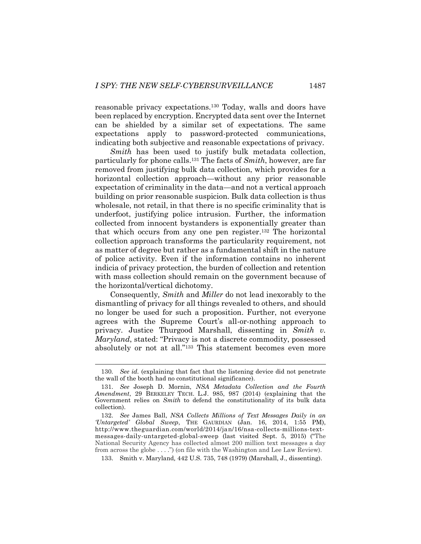reasonable privacy expectations.<sup>130</sup> Today, walls and doors have been replaced by encryption. Encrypted data sent over the Internet can be shielded by a similar set of expectations. The same expectations apply to password-protected communications, indicating both subjective and reasonable expectations of privacy.

*Smith* has been used to justify bulk metadata collection, particularly for phone calls.<sup>131</sup> The facts of *Smith*, however, are far removed from justifying bulk data collection, which provides for a horizontal collection approach—without any prior reasonable expectation of criminality in the data—and not a vertical approach building on prior reasonable suspicion. Bulk data collection is thus wholesale, not retail, in that there is no specific criminality that is underfoot, justifying police intrusion. Further, the information collected from innocent bystanders is exponentially greater than that which occurs from any one pen register. <sup>132</sup> The horizontal collection approach transforms the particularity requirement, not as matter of degree but rather as a fundamental shift in the nature of police activity. Even if the information contains no inherent indicia of privacy protection, the burden of collection and retention with mass collection should remain on the government because of the horizontal/vertical dichotomy.

Consequently*, Smith* and *Miller* do not lead inexorably to the dismantling of privacy for all things revealed to others, and should no longer be used for such a proposition. Further, not everyone agrees with the Supreme Court's all-or-nothing approach to privacy. Justice Thurgood Marshall, dissenting in *Smith v. Maryland*, stated: "Privacy is not a discrete commodity, possessed absolutely or not at all."<sup>133</sup> This statement becomes even more

133. Smith v. Maryland*,* 442 U.S. 735, 748 (1979) (Marshall, J., dissenting).

<sup>130</sup>*. See id.* (explaining that fact that the listening device did not penetrate the wall of the booth had no constitutional significance).

<sup>131.</sup> *See* Joseph D. Mornin, *NSA Metadata Collection and the Fourth Amendment*, 29 BERKELEY TECH. L.J. 985, 987 (2014) (explaining that the Government relies on *Smith* to defend the constitutionality of its bulk data collection).

<sup>132.</sup> *See* James Ball, *NSA Collects Millions of Text Messages Daily in an 'Untargeted' Global Sweep*, THE GAURDIAN (Jan. 16, 2014, 1:55 PM), http://www.theguardian.com/world/2014/jan/16/nsa-collects-millions-textmessages-daily-untargeted-global-sweep (last visited Sept. 5, 2015) ("The National Security Agency has collected almost 200 million text messages a day from across the globe . . . .") (on file with the Washington and Lee Law Review).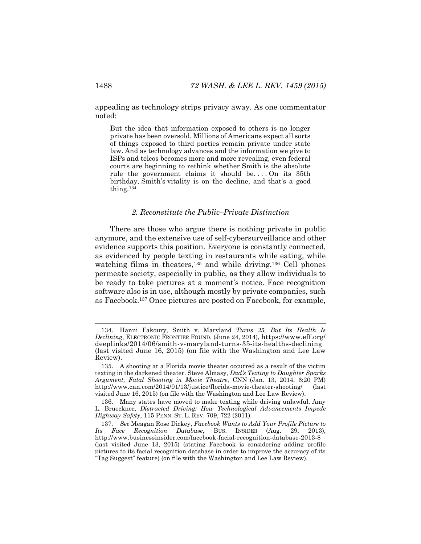appealing as technology strips privacy away. As one commentator noted:

But the idea that information exposed to others is no longer private has been oversold. Millions of Americans expect all sorts of things exposed to third parties remain private under state law. And as technology advances and the information we give to ISPs and telcos becomes more and more revealing, even federal courts are beginning to rethink whether Smith is the absolute rule the government claims it should be.... On its 35th birthday, Smith's vitality is on the decline, and that's a good thing.<sup>134</sup>

#### *2. Reconstitute the Public–Private Distinction*

There are those who argue there is nothing private in public anymore, and the extensive use of self-cybersurveillance and other evidence supports this position. Everyone is constantly connected, as evidenced by people texting in restaurants while eating, while watching films in theaters,<sup>135</sup> and while driving.<sup>136</sup> Cell phones permeate society, especially in public, as they allow individuals to be ready to take pictures at a moment's notice. Face recognition software also is in use, although mostly by private companies, such as Facebook.<sup>137</sup> Once pictures are posted on Facebook, for example,

<sup>134.</sup> Hanni Fakoury, Smith v. Maryland *Turns 35, But Its Health Is Declining*, ELECTRONIC FRONTIER FOUND. (June 24, 2014), https://www.eff.org/ deeplinks/2014/06/smith-v-maryland-turns-35-its-healths-declining (last visited June 16, 2015) (on file with the Washington and Lee Law Review).

<sup>135.</sup> A shooting at a Florida movie theater occurred as a result of the victim texting in the darkened theater. Steve Almasy, *Dad's Texting to Daughter Sparks Argument, Fatal Shooting in Movie Theatre*, CNN (Jan. 13, 2014, 6:20 PM) http://www.cnn.com/2014/01/13/justice/florida-movie-theater-shooting/ (last visited June 16, 2015) (on file with the Washington and Lee Law Review).

<sup>136.</sup> Many states have moved to make texting while driving unlawful. Amy L. Brueckner, *Distracted Driving: How Technological Advancements Impede Highway Safety*, 115 PENN. ST. L. REV. 709, 722 (2011).

<sup>137</sup>*. See* Meagan Rose Dickey, *Facebook Wants to Add Your Profile Picture to Its Face Recognition Database*, BUS. INSIDER (Aug. 29, 2013), http://www.businessinsider.com/facebook-facial-recognition-database-2013-8 (last visited June 13, 2015) (stating Facebook is considering adding profile pictures to its facial recognition database in order to improve the accuracy of its "Tag Suggest" feature) (on file with the Washington and Lee Law Review).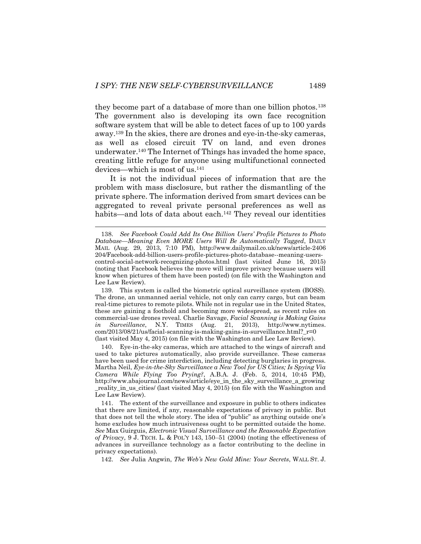<span id="page-31-0"></span>l

they become part of a database of more than one billion photos.<sup>138</sup> The government also is developing its own face recognition software system that will be able to detect faces of up to 100 yards away. <sup>139</sup> In the skies, there are drones and eye-in-the-sky cameras, as well as closed circuit TV on land, and even drones underwater.<sup>140</sup> The Internet of Things has invaded the home space, creating little refuge for anyone using multifunctional connected devices—which is most of us.<sup>141</sup>

It is not the individual pieces of information that are the problem with mass disclosure, but rather the dismantling of the private sphere. The information derived from smart devices can be aggregated to reveal private personal preferences as well as habits—and lots of data about each.<sup>142</sup> They reveal our identities

<sup>138.</sup> *See Facebook Could Add Its One Billion Users' Profile Pictures to Photo Database—Meaning Even MORE Users Will Be Automatically Tagged*, DAILY MAIL (Aug. 29, 2013, 7:10 PM), http://www.dailymail.co.uk/news/article-2406 204/Facebook-add-billion-users-profile-pictures-photo-database--meaning-userscontrol-social-network-recognizing-photos.html (last visited June 16, 2015) (noting that Facebook believes the move will improve privacy because users will know when pictures of them have been posted) (on file with the Washington and Lee Law Review).

<sup>139.</sup> This system is called the biometric optical surveillance system (BOSS). The drone, an unmanned aerial vehicle, not only can carry cargo, but can beam real-time pictures to remote pilots. While not in regular use in the United States, these are gaining a foothold and becoming more widespread, as recent rules on commercial-use drones reveal. Charlie Savage, *Facial Scanning is Making Gains in Surveillance*, N.Y. TIMES (Aug. 21, 2013), http://www.nytimes. com/2013/08/21/us/facial-scanning-is-making-gains-in-surveillance.html?\_r=0 (last visited May 4, 2015) (on file with the Washington and Lee Law Review).

<sup>140.</sup> Eye-in-the-sky cameras, which are attached to the wings of aircraft and used to take pictures automatically, also provide surveillance. These cameras have been used for crime interdiction, including detecting burglaries in progress. Martha Neil, *Eye-in-the-Sky Surveillance a New Tool for US Cities; Is Spying Via Camera While Flying Too Prying?*, A.B.A. J. (Feb. 5, 2014, 10:45 PM), http://www.abajournal.com/news/article/eye\_in\_the\_sky\_surveillance\_a\_growing reality in us cities/ (last visited May 4, 2015) (on file with the Washington and Lee Law Review).

<sup>141.</sup> The extent of the surveillance and exposure in public to others indicates that there are limited, if any, reasonable expectations of privacy in public. But that does not tell the whole story. The idea of "public" as anything outside one's home excludes how much intrusiveness ought to be permitted outside the home. *See* Max Guirguis, *Electronic Visual Surveillance and the Reasonable Expectation of Privacy*, 9 J. TECH. L. & POL'Y 143, 150–51 (2004) (noting the effectiveness of advances in surveillance technology as a factor contributing to the decline in privacy expectations).

<sup>142.</sup> *See* Julia Angwin, *The Web's New Gold Mine: Your Secrets*, WALL ST. J.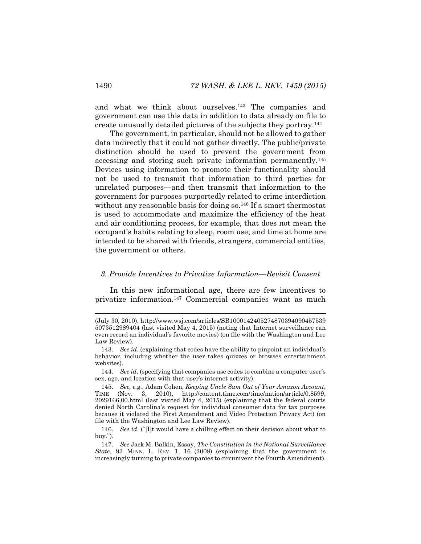and what we think about ourselves.<sup>143</sup> The companies and government can use this data in addition to data already on file to create unusually detailed pictures of the subjects they portray.<sup>144</sup>

The government, in particular, should not be allowed to gather data indirectly that it could not gather directly. The public/private distinction should be used to prevent the government from accessing and storing such private information permanently.<sup>145</sup> Devices using information to promote their functionality should not be used to transmit that information to third parties for unrelated purposes—and then transmit that information to the government for purposes purportedly related to crime interdiction without any reasonable basis for doing so.<sup>146</sup> If a smart thermostat is used to accommodate and maximize the efficiency of the heat and air conditioning process, for example, that does not mean the occupant's habits relating to sleep, room use, and time at home are intended to be shared with friends, strangers, commercial entities, the government or others.

#### <span id="page-32-0"></span>*3. Provide Incentives to Privatize Information—Revisit Consent*

In this new informational age, there are few incentives to privatize information.<sup>147</sup> Commercial companies want as much

144. *See id*. (specifying that companies use codes to combine a computer user's sex, age, and location with that user's internet activity).

147. *See* Jack M. Balkin, Essay, *The Constitution in the National Surveillance State*, 93 MINN. L. REV. 1, 16 (2008) (explaining that the government is increasingly turning to private companies to circumvent the Fourth Amendment).

<sup>(</sup>July 30, 2010), http://www.wsj.com/articles/SB1000142405274870394090457539 5073512989404 (last visited May 4, 2015) (noting that Internet surveillance can even record an individual's favorite movies) (on file with the Washington and Lee Law Review).

<sup>143.</sup> *See id*. (explaining that codes have the ability to pinpoint an individual's behavior, including whether the user takes quizzes or browses entertainment websites).

<sup>145.</sup> *See, e.g.*, Adam Cohen, *Keeping Uncle Sam Out of Your Amazon Account*, TIME (Nov. 3, 2010), http://content.time.com/time/nation/article/0,8599, 2029166,00.html (last visited May 4, 2015) (explaining that the federal courts denied North Carolina's request for individual consumer data for tax purposes because it violated the First Amendment and Video Protection Privacy Act) (on file with the Washington and Lee Law Review).

<sup>146.</sup> *See id*. ("[I]t would have a chilling effect on their decision about what to buy.").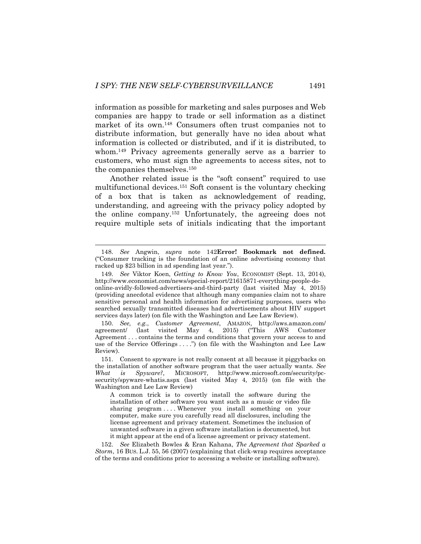information as possible for marketing and sales purposes and Web companies are happy to trade or sell information as a distinct market of its own.<sup>148</sup> Consumers often trust companies not to distribute information, but generally have no idea about what information is collected or distributed, and if it is distributed, to whom.<sup>149</sup> Privacy agreements generally serve as a barrier to customers, who must sign the agreements to access sites, not to the companies themselves.<sup>150</sup>

Another related issue is the "soft consent" required to use multifunctional devices.<sup>151</sup> Soft consent is the voluntary checking of a box that is taken as acknowledgement of reading, understanding, and agreeing with the privacy policy adopted by the online company.<sup>152</sup> Unfortunately, the agreeing does not require multiple sets of initials indicating that the important

150. *See, e.g.*, *Customer Agreement*, AMAZON, http://aws.amazon.com/ agreement/ (last visited May 4, 2015) ("This AWS Customer Agreement . . . contains the terms and conditions that govern your access to and use of the Service Offerings ....") (on file with the Washington and Lee Law Review).

A common trick is to covertly install the software during the installation of other software you want such as a music or video file sharing program .... Whenever you install something on your computer, make sure you carefully read all disclosures, including the license agreement and privacy statement. Sometimes the inclusion of unwanted software in a given software installation is documented, but it might appear at the end of a license agreement or privacy statement.

152. *See* Elizabeth Bowles & Eran Kahana, *The Agreement that Sparked a Storm*, 16 BUS. L.J. 55, 56 (2007) (explaining that click-wrap requires acceptance of the terms and conditions prior to accessing a website or installing software).

<sup>148.</sup> *See* Angwin, *supra* note [142](#page-31-0)**[Error! Bookmark not defined.](#page-31-0)** ("Consumer tracking is the foundation of an online advertising economy that racked up \$23 billion in ad spending last year.").

<sup>149.</sup> *See* Viktor Koen, *Getting to Know You*, ECONOMIST (Sept. 13, 2014), http://www.economist.com/news/special-report/21615871-everything-people-doonline-avidly-followed-advertisers-and-third-party (last visited May 4, 2015) (providing anecdotal evidence that although many companies claim not to share sensitive personal and health information for advertising purposes, users who searched sexually transmitted diseases had advertisements about HIV support services days later) (on file with the Washington and Lee Law Review).

<sup>151.</sup> Consent to spyware is not really consent at all because it piggybacks on the installation of another software program that the user actually wants. *See What is Spyware?*, MICROSOFT, http://www.microsoft.com/security/pcsecurity/spyware-whatis.aspx (last visited May 4, 2015) (on file with the Washington and Lee Law Review)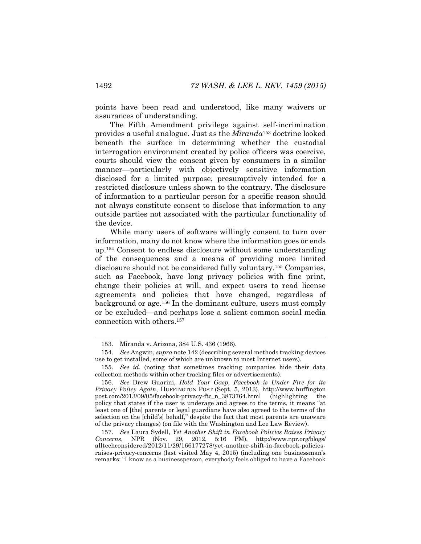points have been read and understood, like many waivers or assurances of understanding.

The Fifth Amendment privilege against self-incrimination provides a useful analogue. Just as the *Miranda*<sup>153</sup> doctrine looked beneath the surface in determining whether the custodial interrogation environment created by police officers was coercive, courts should view the consent given by consumers in a similar manner—particularly with objectively sensitive information disclosed for a limited purpose, presumptively intended for a restricted disclosure unless shown to the contrary. The disclosure of information to a particular person for a specific reason should not always constitute consent to disclose that information to any outside parties not associated with the particular functionality of the device.

While many users of software willingly consent to turn over information, many do not know where the information goes or ends up.<sup>154</sup> Consent to endless disclosure without some understanding of the consequences and a means of providing more limited disclosure should not be considered fully voluntary.<sup>155</sup> Companies, such as Facebook, have long privacy policies with fine print, change their policies at will, and expect users to read license agreements and policies that have changed, regardless of background or age.<sup>156</sup> In the dominant culture, users must comply or be excluded—and perhaps lose a salient common social media connection with others.<sup>157</sup>

157. *See* Laura Sydell, *Yet Another Shift in Facebook Policies Raises Privacy Concerns*, NPR (Nov. 29, 2012, 5:16 PM), http://www.npr.org/blogs/ alltechconsidered/2012/11/29/166177278/yet-another-shift-in-facebook-policiesraises-privacy-concerns (last visited May 4, 2015) (including one businessman's remarks: "I know as a businessperson, everybody feels obliged to have a Facebook

<sup>153.</sup> Miranda v. Arizona, 384 U.S. 436 (1966).

<sup>154.</sup> *See* Angwin, *supra* not[e 142](#page-31-0) (describing several methods tracking devices use to get installed, some of which are unknown to most Internet users).

<sup>155.</sup> *See id*. (noting that sometimes tracking companies hide their data collection methods within other tracking files or advertisements).

<sup>156.</sup> *See* Drew Guarini, *Hold Your Gasp, Facebook is Under Fire for its Privacy Policy Again*, HUFFINGTON POST (Sept. 5, 2013), http://www.huffington post.com/2013/09/05/facebook-privacy-ftc\_n\_3873764.html (highlighting the policy that states if the user is underage and agrees to the terms, it means "at least one of [the] parents or legal guardians have also agreed to the terms of the selection on the [child's] behalf," despite the fact that most parents are unaware of the privacy changes) (on file with the Washington and Lee Law Review).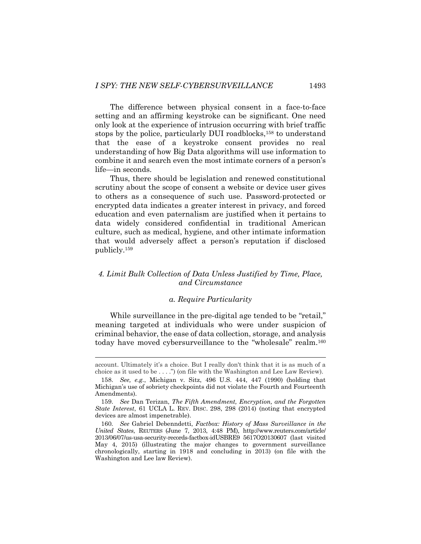The difference between physical consent in a face-to-face setting and an affirming keystroke can be significant. One need only look at the experience of intrusion occurring with brief traffic stops by the police, particularly DUI roadblocks,<sup>158</sup> to understand that the ease of a keystroke consent provides no real understanding of how Big Data algorithms will use information to combine it and search even the most intimate corners of a person's life—in seconds.

Thus, there should be legislation and renewed constitutional scrutiny about the scope of consent a website or device user gives to others as a consequence of such use. Password-protected or encrypted data indicates a greater interest in privacy, and forced education and even paternalism are justified when it pertains to data widely considered confidential in traditional American culture, such as medical, hygiene, and other intimate information that would adversely affect a person's reputation if disclosed publicly.<sup>159</sup>

# *4. Limit Bulk Collection of Data Unless Justified by Time, Place, and Circumstance*

# *a. Require Particularity*

While surveillance in the pre-digital age tended to be "retail," meaning targeted at individuals who were under suspicion of criminal behavior, the ease of data collection, storage, and analysis today have moved cybersurveillance to the "wholesale" realm.<sup>160</sup>

account. Ultimately it's a choice. But I really don't think that it is as much of a choice as it used to be  $\dots$ .") (on file with the Washington and Lee Law Review).

<sup>158.</sup> *See, e.g.*, Michigan v. Sitz, 496 U.S. 444, 447 (1990) (holding that Michigan's use of sobriety checkpoints did not violate the Fourth and Fourteenth Amendments).

<sup>159.</sup> *See* Dan Terizan, *The Fifth Amendment, Encryption, and the Forgotten State Interest*, 61 UCLA L. REV. DISC. 298, 298 (2014) (noting that encrypted devices are almost impenetrable).

<sup>160</sup>*. See* Gabriel Debenndetti, *Factbox: History of Mass Surveillance in the United States*, REUTERS (June 7, 2013, 4:48 PM), http://www.reuters.com/article/ 2013/06/07/us-usa-security-records-factbox-idUSBRE9 5617O20130607 (last visited May 4, 2015) (illustrating the major changes to government surveillance chronologically, starting in 1918 and concluding in 2013) (on file with the Washington and Lee law Review).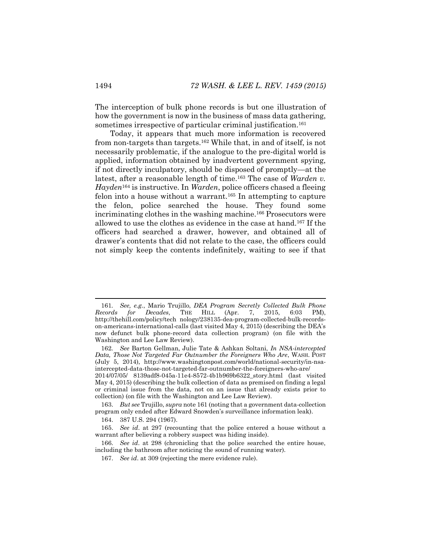<span id="page-36-0"></span>The interception of bulk phone records is but one illustration of how the government is now in the business of mass data gathering, sometimes irrespective of particular criminal justification. 161

Today, it appears that much more information is recovered from non-targets than targets.<sup>162</sup> While that, in and of itself, is not necessarily problematic, if the analogue to the pre-digital world is applied, information obtained by inadvertent government spying, if not directly inculpatory, should be disposed of promptly—at the latest, after a reasonable length of time.<sup>163</sup> The case of *Warden v. Hayden*<sup>164</sup> is instructive. In *Warden*, police officers chased a fleeing felon into a house without a warrant.<sup>165</sup> In attempting to capture the felon, police searched the house. They found some incriminating clothes in the washing machine. <sup>166</sup> Prosecutors were allowed to use the clothes as evidence in the case at hand.<sup>167</sup> If the officers had searched a drawer, however, and obtained all of drawer's contents that did not relate to the case, the officers could not simply keep the contents indefinitely, waiting to see if that

164. 387 U.S. 294 (1967).

<sup>161</sup>*. See, e.g.*, Mario Trujillo, *DEA Program Secretly Collected Bulk Phone Records for Decades*, THE HILL (Apr. 7, 2015, 6:03 PM), http://thehill.com/policy/tech nology/238135-dea-program-collected-bulk-recordson-americans-international-calls (last visited May 4, 2015) (describing the DEA's now defunct bulk phone-record data collection program) (on file with the Washington and Lee Law Review).

<sup>162</sup>*. See* Barton Gellman, Julie Tate & Ashkan Soltani, *In NSA-intercepted Data, Those Not Targeted Far Outnumber the Foreigners Who Are*, WASH. POST (July 5, 2014), http://www.washingtonpost.com/world/national-security/in-nsaintercepted-data-those-not-targeted-far-outnumber-the-foreigners-who-are/

<sup>2014/07/05/</sup> 8139adf8-045a-11e4-8572-4b1b969b6322\_story.html (last visited May 4, 2015) (describing the bulk collection of data as premised on finding a legal or criminal issue from the data, not on an issue that already exists prior to collection) (on file with the Washington and Lee Law Review).

<sup>163.</sup> *But see* Trujillo, *supra* not[e 161](#page-36-0) (noting that a government data-collection program only ended after Edward Snowden's surveillance information leak).

<sup>165.</sup> *See id*. at 297 (recounting that the police entered a house without a warrant after believing a robbery suspect was hiding inside).

<sup>166.</sup> *See id*. at 298 (chronicling that the police searched the entire house, including the bathroom after noticing the sound of running water).

<sup>167.</sup> *See id*. at 309 (rejecting the mere evidence rule).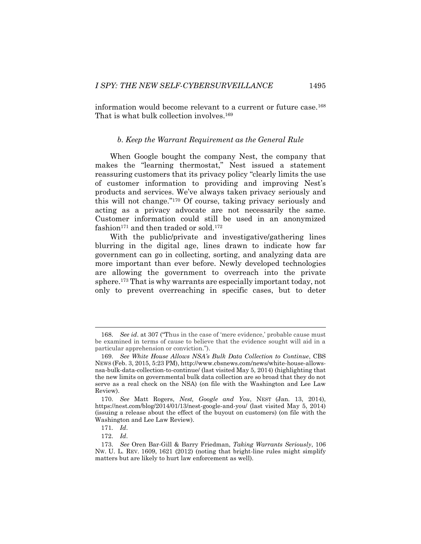information would become relevant to a current or future case.<sup>168</sup> That is what bulk collection involves.<sup>169</sup>

#### *b. Keep the Warrant Requirement as the General Rule*

When Google bought the company Nest, the company that makes the "learning thermostat," Nest issued a statement reassuring customers that its privacy policy "clearly limits the use of customer information to providing and improving Nest's products and services. We've always taken privacy seriously and this will not change." <sup>170</sup> Of course, taking privacy seriously and acting as a privacy advocate are not necessarily the same. Customer information could still be used in an anonymized fashion $171$  and then traded or sold. $172$ 

With the public/private and investigative/gathering lines blurring in the digital age, lines drawn to indicate how far government can go in collecting, sorting, and analyzing data are more important than ever before. Newly developed technologies are allowing the government to overreach into the private sphere.<sup>173</sup> That is why warrants are especially important today, not only to prevent overreaching in specific cases, but to deter

<sup>168.</sup> *See id*. at 307 ("Thus in the case of 'mere evidence,' probable cause must be examined in terms of cause to believe that the evidence sought will aid in a particular apprehension or conviction.").

<sup>169.</sup> *See White House Allows NSA's Bulk Data Collection to Continue*, CBS NEWS (Feb. 3, 2015, 5:23 PM), http://www.cbsnews.com/news/white-house-allowsnsa-bulk-data-collection-to-continue/ (last visited May 5, 2014) (highlighting that the new limits on governmental bulk data collection are so broad that they do not serve as a real check on the NSA) (on file with the Washington and Lee Law Review).

<sup>170.</sup> *See* Matt Rogers, *Nest, Google and You*, NEST (Jan. 13, 2014), https://nest.com/blog/2014/01/13/nest-google-and-you/ (last visited May 5, 2014) (issuing a release about the effect of the buyout on customers) (on file with the Washington and Lee Law Review).

<sup>171</sup>*. Id*.

<sup>172.</sup> *Id*.

<sup>173.</sup> *See* Oren Bar-Gill & Barry Friedman, *Taking Warrants Seriously*, 106 NW. U. L. REV. 1609, 1621 (2012) (noting that bright-line rules might simplify matters but are likely to hurt law enforcement as well).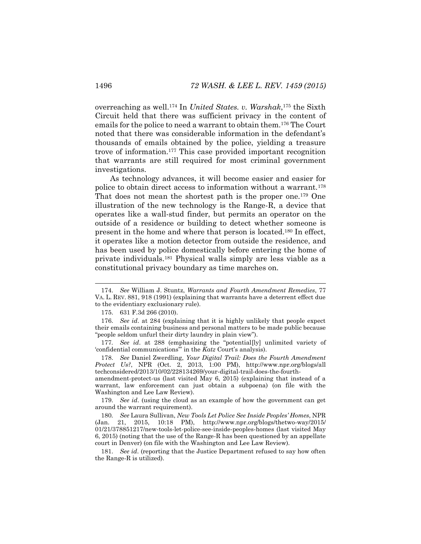overreaching as well.<sup>174</sup> In *United States. v. Warshak*, <sup>175</sup> the Sixth Circuit held that there was sufficient privacy in the content of emails for the police to need a warrant to obtain them.<sup>176</sup> The Court noted that there was considerable information in the defendant's thousands of emails obtained by the police, yielding a treasure trove of information.<sup>177</sup> This case provided important recognition that warrants are still required for most criminal government investigations.

As technology advances, it will become easier and easier for police to obtain direct access to information without a warrant.<sup>178</sup> That does not mean the shortest path is the proper one.<sup>179</sup> One illustration of the new technology is the Range-R, a device that operates like a wall-stud finder, but permits an operator on the outside of a residence or building to detect whether someone is present in the home and where that person is located.<sup>180</sup> In effect, it operates like a motion detector from outside the residence, and has been used by police domestically before entering the home of private individuals.<sup>181</sup> Physical walls simply are less viable as a constitutional privacy boundary as time marches on.

178. *See* Daniel Zwerdling, *Your Digital Trail: Does the Fourth Amendment Protect Us?*, NPR (Oct. 2, 2013, 1:00 PM), http://www.npr.org/blogs/all techconsidered/2013/10/02/228134269/your-digital-trail-does-the-fourth-

amendment-protect-us (last visited May 6, 2015) (explaining that instead of a warrant, law enforcement can just obtain a subpoena) (on file with the Washington and Lee Law Review).

179. *See id*. (using the cloud as an example of how the government can get around the warrant requirement).

180*. See* Laura Sullivan, *New Tools Let Police See Inside Peoples' Homes*, NPR (Jan. 21, 2015, 10:18 PM), http://www.npr.org/blogs/thetwo-way/2015/ 01/21/378851217/new-tools-let-police-see-inside-peoples-homes (last visited May 6, 2015) (noting that the use of the Range-R has been questioned by an appellate court in Denver) (on file with the Washington and Lee Law Review).

181. *See id*. (reporting that the Justice Department refused to say how often the Range-R is utilized).

<sup>174.</sup> *See* William J. Stuntz, *Warrants and Fourth Amendment Remedies*, 77 VA. L. REV. 881, 918 (1991) (explaining that warrants have a deterrent effect due to the evidentiary exclusionary rule).

<sup>175.</sup> 631 F.3d 266 (2010).

<sup>176.</sup> *See id*. at 284 (explaining that it is highly unlikely that people expect their emails containing business and personal matters to be made public because "people seldom unfurl their dirty laundry in plain view").

<sup>177</sup>*. See id*. at 288 (emphasizing the "potential[ly] unlimited variety of 'confidential communications'" in the *Katz* Court's analysis).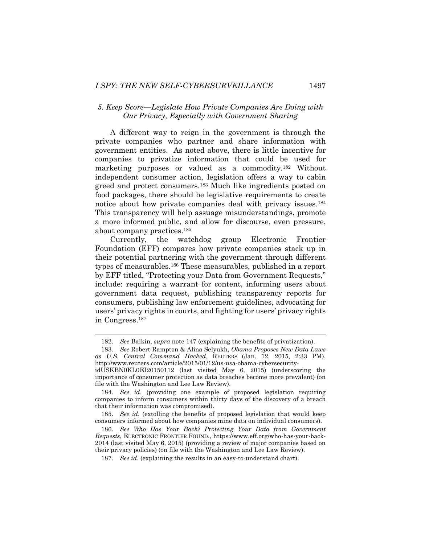### *5. Keep Score—Legislate How Private Companies Are Doing with Our Privacy, Especially with Government Sharing*

<span id="page-39-0"></span>A different way to reign in the government is through the private companies who partner and share information with government entities. As noted above, there is little incentive for companies to privatize information that could be used for marketing purposes or valued as a commodity.<sup>182</sup> Without independent consumer action, legislation offers a way to cabin greed and protect consumers.<sup>183</sup> Much like ingredients posted on food packages, there should be legislative requirements to create notice about how private companies deal with privacy issues.<sup>184</sup> This transparency will help assuage misunderstandings, promote a more informed public, and allow for discourse, even pressure, about company practices. 185

Currently, the watchdog group Electronic Frontier Foundation (EFF) compares how private companies stack up in their potential partnering with the government through different types of measurables.<sup>186</sup> These measurables, published in a report by EFF titled, "Protecting your Data from Government Requests," include: requiring a warrant for content, informing users about government data request, publishing transparency reports for consumers, publishing law enforcement guidelines, advocating for users' privacy rights in courts, and fighting for users' privacy rights in Congress.<sup>187</sup>

<sup>182.</sup> *See* Balkin, *supra* not[e 147](#page-32-0) (explaining the benefits of privatization).

<sup>183.</sup> *See* Robert Rampton & Alina Selyukh, *Obama Proposes New Data Laws as U.S. Central Command Hacked*, REUTERS (Jan. 12, 2015, 2:33 PM), http://www.reuters.com/article/2015/01/12/us-usa-obama-cybersecurity-

idUSKBN0KL0EI20150112 (last visited May 6, 2015) (underscoring the importance of consumer protection as data breaches become more prevalent) (on file with the Washington and Lee Law Review).

<sup>184.</sup> *See id*. (providing one example of proposed legislation requiring companies to inform consumers within thirty days of the discovery of a breach that their information was compromised).

<sup>185.</sup> *See id*. (extolling the benefits of proposed legislation that would keep consumers informed about how companies mine data on individual consumers).

<sup>186.</sup> *See Who Has Your Back? Protecting Your Data from Government Requests*, ELECTRONIC FRONTIER FOUND., https://www.eff.org/who-has-your-back-2014 (last visited May 6, 2015) (providing a review of major companies based on their privacy policies) (on file with the Washington and Lee Law Review).

<sup>187</sup>*. See id*. (explaining the results in an easy-to-understand chart).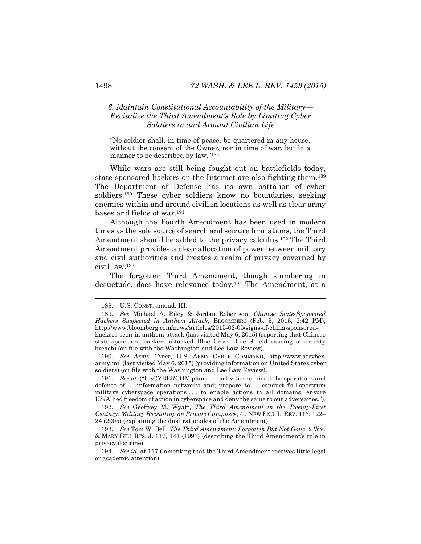# *6. Maintain Constitutional Accountability of the Military— Revitalize the Third Amendment's Role by Limiting Cyber Soldiers in and Around Civilian Life*

"No soldier shall, in time of peace, be quartered in any house, without the consent of the Owner, nor in time of war, but in a manner to be described by law."<sup>188</sup>

While wars are still being fought out on battlefields today, state-sponsored hackers on the Internet are also fighting them.<sup>189</sup> The Department of Defense has its own battalion of cyber soldiers.<sup>190</sup> These cyber soldiers know no boundaries, seeking enemies within and around civilian locations as well as clear army bases and fields of war.<sup>191</sup>

Although the Fourth Amendment has been used in modern times as the sole source of search and seizure limitations, the Third Amendment should be added to the privacy calculus.<sup>192</sup> The Third Amendment provides a clear allocation of power between military and civil authorities and creates a realm of privacy governed by civil law.<sup>193</sup>

<span id="page-40-0"></span>The forgotten Third Amendment, though slumbering in desuetude, does have relevance today.<sup>194</sup> The Amendment, at a

190. *See Army Cyber*, U.S. ARMY CYBER COMMAND, http://www.arcyber. army.mil (last visited May 6, 2015) (providing information on United States cyber soldiers) (on file with the Washington and Lee Law Review).

191. *See id*. ("USCYBERCOM plans . . . activities to: direct the operations and defense of . . . information networks and; prepare to . . . conduct full-spectrum military cyberspace operations . . . to enable actions in all domains, ensure US/Allied freedom of action in cyberspace and deny the same to our adversaries.").

192*. See* Geoffrey M. Wyatt, *The Third Amendment in the Twenty-First Century: Military Recruiting on Private Campuses*, 40 NEW ENG. L. REV. 113, 122– 24 (2005) (explaining the dual rationales of the Amendment).

193. *See* Tom W. Bell, *The Third Amendment: Forgotten But Not Gone*, 2 WM. & MARY BILL RTS. J. 117, 141 (1993) (describing the Third Amendment's role in privacy doctrine).

194. *See id*. at 117 (lamenting that the Third Amendment receives little legal or academic attention).

<sup>188.</sup> U.S. CONST. amend. III.

<sup>189.</sup> *See* Michael A. Riley & Jordan Robertson, *Chinese State-Sponsored Hackers Suspected in Anthem Attack*, BLOOMBERG (Feb. 5, 2015, 2:42 PM), http://www.bloomberg.com/news/articles/2015-02-05/signs-of-china-sponsoredhackers-seen-in-anthem-attack (last visited May 6, 2015) (reporting that Chinese state-sponsored hackers attacked Blue Cross Blue Shield causing a security breach) (on file with the Washington and Lee Law Review).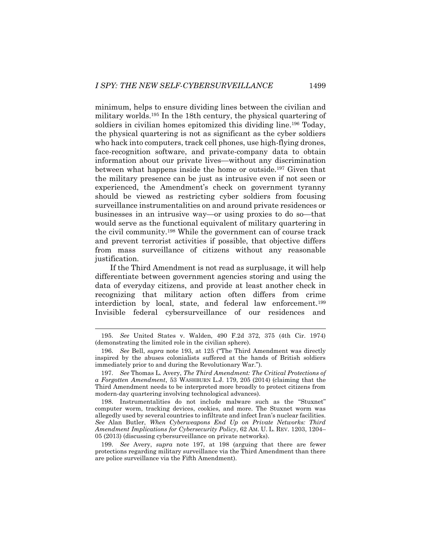<span id="page-41-0"></span>minimum, helps to ensure dividing lines between the civilian and military worlds.<sup>195</sup> In the 18th century, the physical quartering of soldiers in civilian homes epitomized this dividing line.<sup>196</sup> Today, the physical quartering is not as significant as the cyber soldiers who hack into computers, track cell phones, use high-flying drones, face-recognition software, and private-company data to obtain information about our private lives—without any discrimination between what happens inside the home or outside.<sup>197</sup> Given that the military presence can be just as intrusive even if not seen or experienced, the Amendment's check on government tyranny should be viewed as restricting cyber soldiers from focusing surveillance instrumentalities on and around private residences or businesses in an intrusive way—or using proxies to do so—that would serve as the functional equivalent of military quartering in the civil community.<sup>198</sup> While the government can of course track and prevent terrorist activities if possible, that objective differs from mass surveillance of citizens without any reasonable justification.

If the Third Amendment is not read as surplusage, it will help differentiate between government agencies storing and using the data of everyday citizens, and provide at least another check in recognizing that military action often differs from crime interdiction by local, state, and federal law enforcement.<sup>199</sup> Invisible federal cybersurveillance of our residences and

<sup>195.</sup> *See* United States v. Walden, 490 F.2d 372, 375 (4th Cir. 1974) (demonstrating the limited role in the civilian sphere).

<sup>196.</sup> *See* Bell, *supra* note [193](#page-40-0), at 125 ("The Third Amendment was directly inspired by the abuses colonialists suffered at the hands of British soldiers immediately prior to and during the Revolutionary War.").

<sup>197.</sup> *See* Thomas L. Avery, *The Third Amendment: The Critical Protections of a Forgotten Amendment*, 53 WASHBURN L.J. 179, 205 (2014) (claiming that the Third Amendment needs to be interpreted more broadly to protect citizens from modern-day quartering involving technological advances).

<sup>198.</sup> Instrumentalities do not include malware such as the "Stuxnet" computer worm, tracking devices, cookies, and more. The Stuxnet worm was allegedly used by several countries to infiltrate and infect Iran's nuclear facilities. *See* Alan Butler, *When Cyberweapons End Up on Private Networks: Third Amendment Implications for Cybersecurity Policy*, 62 AM. U. L. REV. 1203, 1204– 05 (2013) (discussing cybersurveillance on private networks).

<sup>199.</sup> *See* Avery, *supra* note [197,](#page-41-0) at 198 (arguing that there are fewer protections regarding military surveillance via the Third Amendment than there are police surveillance via the Fifth Amendment).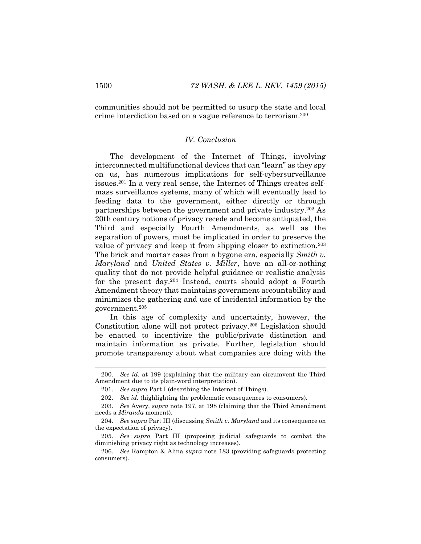communities should not be permitted to usurp the state and local crime interdiction based on a vague reference to terrorism. 200

# *IV. Conclusion*

The development of the Internet of Things, involving interconnected multifunctional devices that can "learn" as they spy on us, has numerous implications for self-cybersurveillance issues.<sup>201</sup> In a very real sense, the Internet of Things creates selfmass surveillance systems, many of which will eventually lead to feeding data to the government, either directly or through partnerships between the government and private industry.<sup>202</sup> As 20th century notions of privacy recede and become antiquated, the Third and especially Fourth Amendments, as well as the separation of powers, must be implicated in order to preserve the value of privacy and keep it from slipping closer to extinction.<sup>203</sup> The brick and mortar cases from a bygone era, especially *Smith v. Maryland* and *United States v. Miller*, have an all-or-nothing quality that do not provide helpful guidance or realistic analysis for the present day.<sup>204</sup> Instead, courts should adopt a Fourth Amendment theory that maintains government accountability and minimizes the gathering and use of incidental information by the government.<sup>205</sup>

In this age of complexity and uncertainty, however, the Constitution alone will not protect privacy.<sup>206</sup> Legislation should be enacted to incentivize the public/private distinction and maintain information as private. Further, legislation should promote transparency about what companies are doing with the

<sup>200.</sup> *See id*. at 199 (explaining that the military can circumvent the Third Amendment due to its plain-word interpretation).

<sup>201.</sup> *See supra* Part I (describing the Internet of Things).

<sup>202.</sup> *See id.* (highlighting the problematic consequences to consumers).

<sup>203.</sup> *See* Avery, *supra* note [197,](#page-41-0) at 198 (claiming that the Third Amendment needs a *Miranda* moment).

<sup>204.</sup> *See supra* Part III (discussing *Smith v. Maryland* and its consequence on the expectation of privacy).

<sup>205.</sup> *See supra* Part III (proposing judicial safeguards to combat the diminishing privacy right as technology increases).

<sup>206.</sup> *See* Rampton & Alina *supra* note [183](#page-39-0) (providing safeguards protecting consumers).